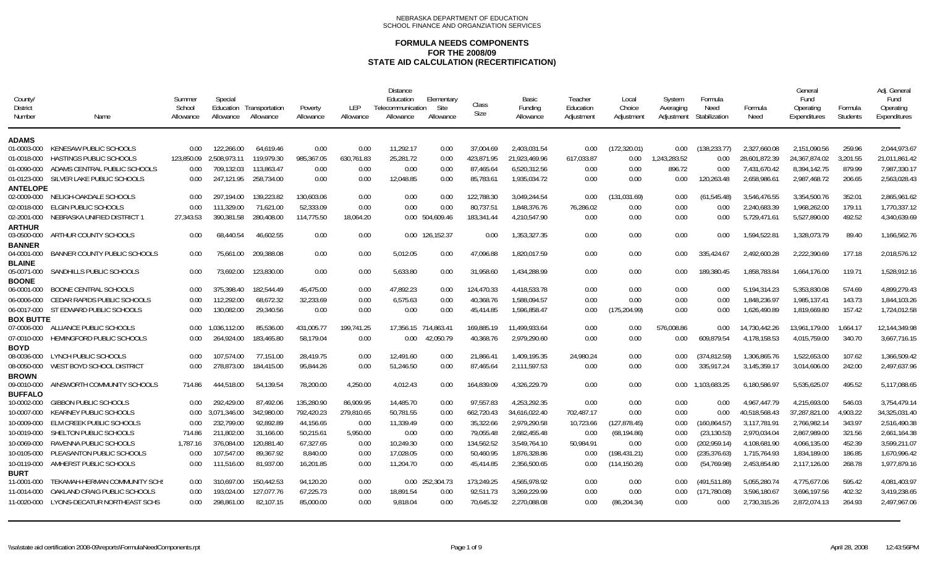| County/<br><b>District</b><br>Number         | Name                                                      | Summer<br>School<br>Allowance | Special<br>Education<br>Allowance | Transportation<br>Allowance | Poverty<br>Allowance    | LEP<br>Allowance | <b>Distance</b><br>Education<br>Telecommunication<br>Allowance | Elementary<br>Site<br>Allowance | Class<br>Size           | Basic<br>Funding<br>Allowance | Teacher<br>Education<br>Adjustment | Local<br>Choice<br>Adjustment | System<br>Averaging<br>Adjustment | Formula<br>Need<br>Stabilization | Formula<br>Need | General<br>Fund<br>Operating<br>Expenditures | Formula<br>Students | Adj. General<br>Fund<br>Operating<br>Expenditures |
|----------------------------------------------|-----------------------------------------------------------|-------------------------------|-----------------------------------|-----------------------------|-------------------------|------------------|----------------------------------------------------------------|---------------------------------|-------------------------|-------------------------------|------------------------------------|-------------------------------|-----------------------------------|----------------------------------|-----------------|----------------------------------------------|---------------------|---------------------------------------------------|
| ADAMS                                        |                                                           |                               |                                   |                             |                         |                  |                                                                |                                 |                         |                               |                                    |                               |                                   |                                  |                 |                                              |                     |                                                   |
| 01-0003-000                                  | KENESAW PUBLIC SCHOOLS                                    | 0.00                          | 122.266.00                        | 64.619.46                   | 0.00                    | 0.00             | 11,292.17                                                      | 0.00                            | 37.004.69               | 2,403,031.54                  | 0.00                               | (172, 320.01)                 | $0.00\,$                          | (138, 233, 77)                   | 2,327,660.08    | 2,151,090.56                                 | 259.96              | 2.044.973.67                                      |
| 01-0018-000                                  | <b>HASTINGS PUBLIC SCHOOLS</b>                            | 123,850.09                    | 2.508.973.11                      | 119,979.30                  | 985,367.05              | 630,761.83       | 25,281.72                                                      | 0.00                            | 423,871.95              | 21,923,469.96                 | 617,033.87                         | 0.00                          | 1,243,283.52                      | 0.00                             | 28,601,872.39   | 24,367,874.02                                | 3,201.55            | 21,011,861.42                                     |
| 01-0090-000                                  | ADAMS CENTRAL PUBLIC SCHOOLS                              | 0.00                          | 709,132.03                        | 113,863.47                  | 0.00                    | 0.00             | 0.00                                                           | 0.00                            | 87,465.64               | 6,520,312.56                  | 0.00                               | 0.00                          | 896.72                            | 0.00                             | 7,431,670.42    | 8,394,142.75                                 | 879.99              | 7,987,330.17                                      |
| 01-0123-000                                  | SILVER LAKE PUBLIC SCHOOLS                                | 0.00                          | 247,121.95                        | 258,734.00                  | 0.00                    | 0.00             | 12,048.85                                                      | 0.00                            | 85,783.61               | 1,935,034.72                  | 0.00                               | 0.00                          | 0.00                              | 120,263.48                       | 2,658,986.61    | 2,987,468.72                                 | 206.65              | 2,563,028.43                                      |
| <b>ANTELOPE</b>                              |                                                           |                               |                                   |                             |                         |                  |                                                                |                                 |                         |                               |                                    |                               |                                   |                                  |                 |                                              |                     |                                                   |
| 02-0009-000                                  | NELIGH-OAKDALE SCHOOLS                                    | 0.00                          | 297.194.00                        | 139.223.82                  | 130.603.06              | 0.00             | 0.00                                                           | 0.00                            | 122.788.30              | 3.049.244.54                  | 0.00                               | (131.031.69)                  | 0.00                              | (61.545.48)                      | 3.546.476.55    | 3.354.500.76                                 | 352.01              | 2.865.961.62                                      |
| 02-0018-000                                  | <b>ELGIN PUBLIC SCHOOLS</b>                               | 0.00                          | 111.329.00                        | 71,621.00                   | 52.333.09               | 0.00             | 0.00                                                           | 0.00                            | 80.737.51               | 1.848.376.76                  | 76.286.02                          | 0.00                          | 0.00                              | 0.00                             | 2,240,683.39    | 1.968.262.00                                 | 179.11              | 1.770.337.12                                      |
| 02-2001-000                                  | NEBRASKA UNIFIED DISTRICT                                 | 27.343.53                     | 390.381.58                        | 280,408.00                  | 114.775.50              | 18,064.20        |                                                                | 0.00 504.609.46                 | 183,341.44              | 4.210.547.90                  | 0.00                               | 0.00                          | 0.00                              | 0.00                             | 5,729,471.61    | 5,527,890.00                                 | 492.52              | 4.340.639.69                                      |
| <b>ARTHUR</b><br>03-0500-000                 | ARTHUR COUNTY SCHOOLS                                     | 0.00                          | 68.440.54                         | 46.602.55                   | 0.00                    | 0.00             |                                                                | 0.00 126.152.37                 | 0.00                    | 1.353.327.35                  | 0.00                               | 0.00                          | 0.00                              | 0.00                             | 1,594,522.81    | 1,328,073.79                                 | 89.40               | 1,166,562.76                                      |
| <b>BANNER</b><br>04-0001-000                 | BANNER COUNTY PUBLIC SCHOOLS                              | 0.00                          | 75,661.00                         | 209,388.08                  | 0.00                    | 0.00             | 5,012.05                                                       | 0.00                            | 47,096.88               | 1,820,017.59                  | 0.00                               | 0.00                          | 0.00                              | 335,424.67                       | 2,492,600.28    | 2,222,390.69                                 | 177.18              | 2,018,576.12                                      |
| <b>BLAINE</b><br>05-0071-000<br><b>BOONE</b> | SANDHILLS PUBLIC SCHOOLS                                  | 0.00                          | 73.692.00                         | 123.830.00                  | 0.00                    | 0.00             | 5.633.80                                                       | 0.00                            | 31.958.60               | 1.434.288.99                  | 0.00                               | 0.00                          | 0.00                              | 189.380.45                       | 1.858.783.84    | 1.664.176.00                                 | 119.71              | 1.528.912.16                                      |
| 06-0001-000                                  | BOONE CENTRAL SCHOOLS                                     | 0.00                          | 375,398.40                        | 182,544.49                  | 45.475.00               | 0.00             | 47,892.23                                                      | 0.00                            | 124.470.33              | 4.418.533.78                  | 0.00                               | 0.00                          | 0.00                              | 0.00                             | 5.194.314.23    | 5.353.830.08                                 | 574.69              | 4.899.279.43                                      |
| 06-0006-000                                  | CEDAR RAPIDS PUBLIC SCHOOLS                               | 0.00                          | 112,292.00                        | 68,672.32                   | 32,233.69               | 0.00             | 6,575.63                                                       | 0.00                            | 40,368.76               | 1,588,094.57                  | 0.00                               | 0.00                          | 0.00                              | 0.00                             | 1,848,236.97    | 1,985,137.41                                 | 143.73              | 1,844,103.26                                      |
| 06-0017-000                                  | ST EDWARD PUBLIC SCHOOLS                                  | 0.00                          | 130,082.00                        | 29,340.56                   | 0.00                    | 0.00             | 0.00                                                           | 0.00                            | 45,414.85               | 1.596.858.47                  | 0.00                               | (175, 204.99)                 | 0.00                              | 0.00                             | 1,626,490.89    | 1,819,669.80                                 | 157.42              | 1,724,012.58                                      |
| <b>BOX BUTTE</b>                             |                                                           |                               |                                   |                             |                         |                  |                                                                |                                 |                         |                               |                                    |                               |                                   |                                  |                 |                                              |                     |                                                   |
| 07-0006-000                                  | ALLIANCE PUBLIC SCHOOLS                                   | 0.00                          | 1.036.112.00                      | 85,536.00                   | 431,005.77              | 199.741.25       | 17,356.15 714,863.41                                           |                                 | 169,885.19              | 11.499.933.64                 | 0.00                               | 0.00                          | 576.008.86                        | 0.00                             | 14,730,442.26   | 13,961,179.00                                | 1.664.17            | 12,144,349.98                                     |
| 07-0010-000<br><b>BOYD</b>                   | HEMINGFORD PUBLIC SCHOOLS                                 | 0.00                          | 264,924.00                        | 183,465.80                  | 58,179.04               | 0.00             | $0.00\,$                                                       | 42,050.79                       | 40,368.76               | 2,979,290.60                  | 0.00                               | 0.00                          | 0.00                              | 609,879.54                       | 4,178,158.53    | 4,015,759.00                                 | 340.70              | 3,667,716.15                                      |
| 08-0036-000                                  | LYNCH PUBLIC SCHOOLS                                      | 0.00                          | 107.574.00                        | 77.151.00                   | 28.419.75               | 0.00             | 12.491.60                                                      | 0.00                            | 21.866.41               | 1.409.195.35                  | 24.980.24                          | 0.00                          | 0.00                              | (374.812.59)                     | 1.306.865.76    | 1.522.653.00                                 | 107.62              | 1.366.509.42                                      |
| 08-0050-000                                  | WEST BOYD SCHOOL DISTRICT                                 | 0.00                          | 278.873.00                        | 184,415.00                  | 95.844.26               | 0.00             | 51,246.50                                                      | 0.00                            | 87.465.64               | 2.111.597.53                  | 0.00                               | 0.00                          | 0.00                              | 335,917.24                       | 3,145,359.17    | 3.014.606.00                                 | 242.00              | 2.497.637.96                                      |
| <b>BROWN</b>                                 |                                                           |                               |                                   |                             |                         |                  |                                                                |                                 |                         |                               |                                    |                               |                                   |                                  |                 |                                              |                     |                                                   |
| 09-0010-000                                  | AINSWORTH COMMUNITY SCHOOLS                               | 714.86                        | 444,518.00                        | 54.139.54                   | 78.200.00               | 4.250.00         | 4.012.43                                                       | 0.00                            | 164.839.09              | 4.326.229.79                  | 0.00                               | 0.00                          | $0.00\,$                          | 1.103.683.25                     | 6.180.586.97    | 5.535.625.07                                 | 495.52              | 5.117.088.65                                      |
| <b>BUFFALO</b>                               | <b>GIBBON PUBLIC SCHOOLS</b>                              |                               |                                   | 87,492.06                   | 135,280.90              | 86,909.95        |                                                                |                                 | 97,557.83               | 4,253,292.35                  | 0.00                               | 0.00                          |                                   |                                  | 4.967.447.79    | 4,215,693.00                                 |                     |                                                   |
| 10-0002-000                                  |                                                           | 0.00                          | 292,429.00                        | 342,980.00                  |                         | 279,810.65       | 14,485.70                                                      | 0.00                            |                         |                               | 702,487.17                         |                               | 0.00                              | 0.00<br>0.00                     | 40,518,568.43   | 37,287,821.00                                | 546.03              | 3,754,479.14<br>34,325,031.40                     |
| 10-0007-000<br>10-0009-000                   | <b>KEARNEY PUBLIC SCHOOLS</b><br>ELM CREEK PUBLIC SCHOOLS | $0.00\,$<br>0.00              | 3,071,346.00<br>232,799.00        | 92,892.89                   | 792,420.23<br>44,156.65 | 0.00             | 50,781.55<br>11,339.49                                         | 0.00<br>0.00                    | 662,720.43<br>35,322.66 | 34,616,022.40<br>2,979,290.58 | 10,723.66                          | 0.00<br>(127,878.45)          | 0.00                              | (160, 864.57)                    | 3,117,781.91    | 2,766,982.14                                 | 4,903.22<br>343.97  | 2,516,490.38                                      |
|                                              | SHELTON PUBLIC SCHOOLS                                    |                               | 211,802.00                        | 31,166.00                   | 50,215.61               | 5,950.00         |                                                                |                                 | 79,055.48               | 2,682,455.48                  |                                    | (68, 194.86)                  | 0.00                              | (23, 130.53)                     | 2,970,034.04    | 2,867,989.00                                 | 321.56              | 2,661,164.38                                      |
| 10-0019-000<br>10-0069-000                   | RAVENNA PUBLIC SCHOOLS                                    | 714.86<br>1.787.16            | 376.084.00                        | 120,881.40                  | 67.327.65               | 0.00             | 0.00<br>10.249.30                                              | 0.00                            | 134.562.52              | 3.549.764.10                  | 0.00<br>50.984.91                  | 0.00                          | 0.00<br>0.00                      | (202.959.14)                     | 4.108.681.90    | 4.066.135.00                                 | 452.39              | 3.599.211.07                                      |
| 10-0105-000                                  | PLEASANTON PUBLIC SCHOOLS                                 | 0.00                          | 107.547.00                        | 89,367.92                   | 8.840.00                | 0.00             | 17,028.05                                                      | 0.00<br>0.00                    | 50.460.95               | 1.876.328.86                  | 0.00                               | (198, 431.21)                 | 0.00                              | (235, 376.63)                    | 1.715.764.93    | 1.834.189.00                                 | 186.85              | 1.670.996.42                                      |
|                                              | AMHERST PUBLIC SCHOOLS                                    |                               |                                   | 81.937.00                   | 16.201.85               |                  | 11.204.70                                                      |                                 | 45.414.85               | 2.356.500.65                  |                                    |                               |                                   |                                  | 2.453.854.80    | 2.117.126.00                                 | 268.78              | 1.977.879.16                                      |
| 10-0119-000<br><b>BURT</b>                   |                                                           | 0.00                          | 111,516.00                        |                             |                         | 0.00             |                                                                | 0.00                            |                         |                               | 0.00                               | (114.150.26)                  | 0.00                              | (54, 769.98)                     |                 |                                              |                     |                                                   |
| 11-0001-000                                  | TEKAMAH-HERMAN COMMUNITY SCHS                             | 0.00                          | 310.697.00                        | 150.442.53                  | 94.120.20               | 0.00             |                                                                | 0.00 252.304.73                 | 173.249.25              | 4.565.978.92                  | 0.00                               | 0.00                          | 0.00                              | (491.511.89)                     | 5.055.280.74    | 4.775.677.06                                 | 595.42              | 4,081,403.97                                      |
| 11-0014-000                                  | OAKLAND CRAIG PUBLIC SCHOOLS                              | 0.00                          | 193.024.00                        | 127.077.76                  | 67.225.73               | 0.00             | 18,891.54                                                      | 0.00                            | 92.511.73               | 3.269.229.99                  | 0.00                               | 0.00                          | 0.00                              | (171, 780.08)                    | 3.596.180.67    | 3.696.197.56                                 | 402.32              | 3,419,238.65                                      |
|                                              | 11-0020-000 LYONS-DECATUR NORTHEAST SCHS                  | 0.00                          | 298,861.00                        | 82,107.15                   | 85.000.00               | 0.00             | 9.818.04                                                       | 0.00                            | 70,645.32               | 2,270,088.08                  | 0.00                               | (86, 204.34)                  | 0.00                              | 0.00                             | 2,730,315.26    | 2,872,074.13                                 | 264.93              | 2,497,967.06                                      |
|                                              |                                                           |                               |                                   |                             |                         |                  |                                                                |                                 |                         |                               |                                    |                               |                                   |                                  |                 |                                              |                     |                                                   |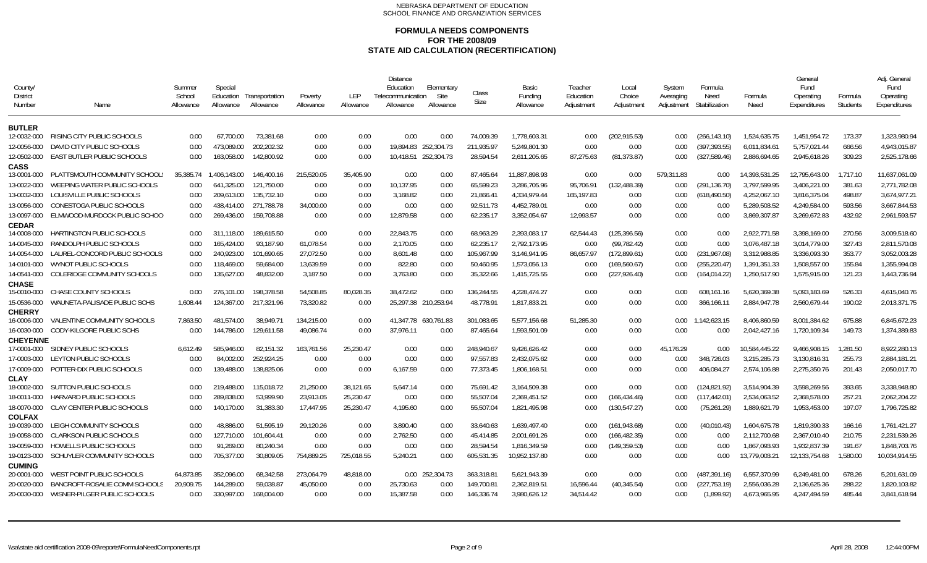| County<br><b>District</b><br>Number | Name                               | Summer<br>School<br>Allowance | Special<br>Education<br>Allowance | Transportation<br>Allowance | Poverty<br>Allowance | LEP<br>Allowance | <b>Distance</b><br>Education<br>Telecommunication<br>Allowance | Elementary<br>Site<br>Allowance | Class<br>Size | Basic<br>Funding<br>Allowance | Teacher<br>Education<br>Adjustment | Local<br>Choice<br>Adjustment | System<br>Averaging<br>Adjustment | Formula<br>Need<br>Stabilization | Formula<br>Need | Genera<br>Fund<br>Operating<br>Expenditures | Formula<br><b>Students</b> | Adj. General<br>Fund<br>Operating<br>Expenditures |
|-------------------------------------|------------------------------------|-------------------------------|-----------------------------------|-----------------------------|----------------------|------------------|----------------------------------------------------------------|---------------------------------|---------------|-------------------------------|------------------------------------|-------------------------------|-----------------------------------|----------------------------------|-----------------|---------------------------------------------|----------------------------|---------------------------------------------------|
| <b>BUTLER</b>                       |                                    |                               |                                   |                             |                      |                  |                                                                |                                 |               |                               |                                    |                               |                                   |                                  |                 |                                             |                            |                                                   |
| 12-0032-000                         | RISING CITY PUBLIC SCHOOLS         | 0.00                          | 67.700.00                         | 73,381.68                   | 0.00                 | 0.00             | 0.00                                                           | 0.00                            | 74,009.39     | 1,778,603.31                  | 0.00                               | (202,915.53)                  | 0.00                              | (266, 143.10)                    | 1,524,635.75    | 1,451,954.72                                | 173.37                     | 1,323,980.94                                      |
| 12-0056-000                         | DAVID CITY PUBLIC SCHOOLS          | 0.00                          | 473.089.00                        | 202,202.32                  | 0.00                 | 0.00             |                                                                | 19,894.83 252,304.73            | 211,935.97    | 5,249,801.30                  | 0.00                               | 0.00                          | 0.00                              | (397, 393.55)                    | 6,011,834.61    | 5,757,021.44                                | 666.56                     | 4,943,015.87                                      |
| 12-0502-000                         | EAST BUTLER PUBLIC SCHOOLS         | 0.00                          | 163.058.00                        | 142,800.92                  | 0.00                 | 0.00             |                                                                | 10,418.51 252,304.73            | 28.594.54     | 2,611,205.65                  | 87,275.63                          | (81, 373.87)                  | 0.00                              | (327, 589.46)                    | 2,886,694.65    | 2,945,618.26                                | 309.23                     | 2,525,178.66                                      |
| <b>CASS</b><br>13-0001-000          | PLATTSMOUTH COMMUNITY SCHOOL       | 35.385.74                     | 1.406.143.00                      | 146,400.16                  | 215,520.05           | 35.405.90        | 0.00                                                           | 0.00                            | 87.465.64     | 11,887,898.93                 | 0.00                               | 0.00                          | 579.311.83                        | 0.00                             | 14.393,531.25   | 12,795,643.00                               | 1.717.10                   | 11,637,061.09                                     |
| 13-0022-000                         | WEEPING WATER PUBLIC SCHOOLS       | 0.00                          | 641,325.00                        | 121,750.00                  | 0.00                 | 0.00             | 10,137.95                                                      | 0.00                            | 65.599.23     | 3,286,705.96                  | 95,706.91                          | (132, 488.39)                 | 0.00                              | (291, 136.70)                    | 3,797,599.95    | 3,406,221.00                                | 381.63                     | 2,771,782.08                                      |
| 13-0032-000                         | LOUISVILLE PUBLIC SCHOOLS          | 0.00                          | 209,613.00                        | 135,732.10                  | 0.00                 | 0.00             | 3,168.82                                                       | 0.00                            | 21,866.41     | 4,334,979.44                  | 165,197.83                         | 0.00                          | 0.00                              | (618, 490.50)                    | 4,252,067.10    | 3,816,375.04                                | 498.87                     | 3,674,977.21                                      |
| 13-0056-000                         | CONESTOGA PUBLIC SCHOOLS           | 0.00                          | 438.414.00                        | 271,788.78                  | 34,000.00            | 0.00             | 0.00                                                           | 0.00                            | 92.511.73     | 4,452,789.01                  | 0.00                               | 0.00                          | 0.00                              | 0.00                             | 5,289,503.52    | 4,249,584.00                                | 593.56                     | 3,667,844.53                                      |
| 13-0097-000                         | ELMWOOD-MURDOCK PUBLIC SCHOO       | 0.00                          | 269.436.00                        | 159.708.88                  | 0.00                 | 0.00             | 12.879.58                                                      | 0.00                            | 62.235.17     | 3,352,054.67                  | 12.993.57                          | 0.00                          | 0.00                              | 0.00                             | 3.869.307.87    | 3.269.672.83                                | 432.92                     | 2.961.593.57                                      |
| <b>CEDAR</b>                        |                                    |                               |                                   |                             |                      |                  |                                                                |                                 |               |                               |                                    |                               |                                   |                                  |                 |                                             |                            |                                                   |
| 14-0008-000                         | <b>HARTINGTON PUBLIC SCHOOLS</b>   | 0.00                          | 311.118.00                        | 189.615.50                  | 0.00                 | 0.00             | 22,843.75                                                      | 0.00                            | 68.963.29     | 2,393,083.17                  | 62,544.43                          | (125, 396.56)                 | 0.00                              | 0.00                             | 2,922,771.58    | 3,398,169.00                                | 270.56                     | 3,009,518.60                                      |
| 14-0045-000                         | RANDOLPH PUBLIC SCHOOLS            | 0.00                          | 165.424.00                        | 93.187.90                   | 61.078.54            | 0.00             | 2.170.05                                                       | 0.00                            | 62.235.17     | 2,792,173.95                  | 0.00                               | (99, 782.42)                  | 0.00                              | 0.00                             | 3.076.487.18    | 3.014.779.00                                | 327.43                     | 2.811.570.08                                      |
| 14-0054-000                         | LAUREL-CONCORD PUBLIC SCHOOLS      | 0.00                          | 240.923.00                        | 101.690.65                  | 27.072.50            | 0.00             | 8,601.48                                                       | 0.00                            | 105.967.99    | 3.146.941.95                  | 86.657.97                          | (172, 899.61)                 | 0.00                              | (231, 967.08)                    | 3.312.988.85    | 3.336.093.30                                | 353.77                     | 3.052.003.28                                      |
| 14-0101-000                         | WYNOT PUBLIC SCHOOLS               | 0.00                          | 118.469.00                        | 59.684.00                   | 13.639.59            | 0.00             | 822.80                                                         | 0.00                            | 50.460.95     | 1,573,056.13                  | 0.00                               | (169, 560.67)                 | 0.00                              | (255,220.47)                     | 1,391,351.33    | 1,508,557.00                                | 155.84                     | 1.355.994.08                                      |
| 14-0541-000                         | <b>COLERIDGE COMMUNITY SCHOOLS</b> | 0.00                          | 135.627.00                        | 48,832.00                   | 3.187.50             | 0.00             | 3.763.80                                                       | 0.00                            | 35.322.66     | 1,415,725.55                  | 0.00                               | (227, 926.40)                 | 0.00                              | (164,014.22)                     | 1,250,517.90    | 1.575.915.00                                | 121.23                     | 1.443.736.94                                      |
| <b>CHASE</b>                        |                                    |                               |                                   |                             |                      |                  |                                                                |                                 |               |                               |                                    |                               |                                   |                                  |                 |                                             |                            |                                                   |
| 15-0010-000                         | CHASE COUNTY SCHOOLS               | 0.00                          | 276.101.00                        | 198.378.58                  | 54.508.85            | 80.028.35        | 38,472.62                                                      | 0.00                            | 136.244.55    | 4.228.474.27                  | 0.00                               | 0.00                          | 0.00                              | 608.161.16                       | 5,620,369.38    | 5.093.183.69                                | 526.33                     | 4,615,040.76                                      |
| 15-0536-000                         | WAUNETA-PALISADE PUBLIC SCHS       | 1,608.44                      | 124.367.00                        | 217,321.96                  | 73,320.82            | 0.00             | 25.297.38 210.253.94                                           |                                 | 48.778.91     | 1,817,833.21                  | 0.00                               | 0.00                          | 0.00                              | 366,166.1 <sup>-</sup>           | 2,884,947.78    | 2.560.679.44                                | 190.02                     | 2,013,371.75                                      |
| <b>CHERRY</b><br>16-0006-000        | VALENTINE COMMUNITY SCHOOLS        | 7.863.50                      | 481.574.00                        | 38.949.71                   | 134,215.00           | 0.00             |                                                                | 41.347.78 630.761.83            | 301.083.65    | 5.577.156.68                  | 51.285.30                          | 0.00                          | 0.00                              | 1.142.623.15                     | 8.406.860.59    | 8.001.384.62                                | 675.88                     | 6.845.672.23                                      |
| 16-0030-000                         | <b>CODY-KILGORE PUBLIC SCHS</b>    | 0.00                          | 144.786.00                        | 129.611.58                  | 49.086.74            | 0.00             | 37.976.11                                                      | 0.00                            | 87.465.64     | 1,593,501.09                  | 0.00                               | 0.00                          | 0.00                              | 0.00                             | 2,042,427.16    | 1.720.109.34                                | 149.73                     | 1.374.389.83                                      |
| <b>CHEYENNE</b>                     |                                    |                               |                                   |                             |                      |                  |                                                                |                                 |               |                               |                                    |                               |                                   |                                  |                 |                                             |                            |                                                   |
| 17-0001-000                         | SIDNEY PUBLIC SCHOOLS              | 6.612.49                      | 585,946.00                        | 82.151.32                   | 163.761.56           | 25.230.47        | 0.00                                                           | 0.00                            | 248.940.67    | 9.426.626.42                  | 0.00                               | 0.00                          | 45.176.29                         | 0.00                             | 10.584.445.22   | 9.466.908.15                                | 1.281.50                   | 8.922.280.13                                      |
| 17-0003-000                         | LEYTON PUBLIC SCHOOLS              | 0.00                          | 84.002.00                         | 252,924.25                  | 0.00                 | 0.00             | 0.00                                                           | 0.00                            | 97.557.83     | 2.432.075.62                  | 0.00                               | 0.00                          | 0.00                              | 348.726.03                       | 3.215.285.73    | 3.130.816.31                                | 255.73                     | 2.884.181.21                                      |
| 17-0009-000                         | POTTER-DIX PUBLIC SCHOOLS          | 0.00                          | 139,488.00                        | 138,825.06                  | 0.00                 | 0.00             | 6,167.59                                                       | 0.00                            | 77,373.45     | 1,806,168.51                  | 0.00                               | 0.00                          | 0.00                              | 406,084.27                       | 2,574,106.88    | 2,275,350.76                                | 201.43                     | 2,050,017.70                                      |
| <b>CLAY</b>                         |                                    |                               |                                   |                             |                      |                  |                                                                |                                 |               |                               |                                    |                               |                                   |                                  |                 |                                             |                            |                                                   |
| 18-0002-000                         | SUTTON PUBLIC SCHOOLS              | 0.00                          | 219,488.00                        | 115,018.72                  | 21.250.00            | 38.121.65        | 5.647.14                                                       | 0.00                            | 75.691.42     | 3.164.509.38                  | 0.00                               | 0.00                          | 0.00                              | (124.821.92)                     | 3.514.904.39    | 3.598.269.56                                | 393.65                     | 3.338.948.80                                      |
| 18-0011-000                         | HARVARD PUBLIC SCHOOLS             | 0.00                          | 289,838.00                        | 53,999.90                   | 23,913.05            | 25,230.47        | 0.00                                                           | 0.00                            | 55,507.04     | 2,369,451.52                  | 0.00                               | (166,434.46)                  | 0.00                              | (117,442.01)                     | 2,534,063.52    | 2,368,578.00                                | 257.21                     | 2,062,204.22                                      |
| 18-0070-000                         | <b>CLAY CENTER PUBLIC SCHOOLS</b>  | 0.00                          | 140,170.00                        | 31,383.30                   | 17,447.95            | 25,230.47        | 4,195.60                                                       | 0.00                            | 55,507.04     | 1,821,495.98                  | 0.00                               | (130,547.27)                  | 0.00                              | (75, 261.29)                     | 1,889,621.79    | 1,953,453.00                                | 197.07                     | 1,796,725.82                                      |
| <b>COLFAX</b><br>19-0039-000        | LEIGH COMMUNITY SCHOOLS            | 0.00                          | 48.886.00                         | 51,595.19                   | 29,120.26            | 0.00             | 3,890.40                                                       | 0.00                            | 33,640.63     | 1,639,497.40                  | 0.00                               | (161, 943.68)                 | 0.00                              | (40,010.43)                      | 1,604,675.78    | 1,819,390.33                                | 166.16                     | 1,761,421.27                                      |
| 19-0058-000                         | <b>CLARKSON PUBLIC SCHOOLS</b>     | 0.00                          | 127,710.00                        | 101,604.41                  | 0.00                 | 0.00             | 2,762.50                                                       | 0.00                            | 45,414.85     | 2,001,691.26                  | 0.00                               | (166, 482.35)                 | 0.00                              | 0.00                             | 2,112,700.68    | 2,367,010.40                                | 210.75                     | 2,231,539.26                                      |
| 19-0059-000                         | HOWELLS PUBLIC SCHOOLS             | 0.00                          | 91,269.00                         | 80,240.34                   | 0.00                 | 0.00             | 0.00                                                           | 0.00                            | 28,594.54     | 1,816,349.59                  | 0.00                               | (149, 359.53)                 | 0.00                              | 0.00                             | 1,867,093.93    | 1,932,837.39                                | 191.67                     | 1,848,703.76                                      |
| 19-0123-000                         | SCHUYLER COMMUNITY SCHOOLS         | 0.00                          | 705,377.00                        | 30,809.05                   | 754,889.25           | 725,018.55       | 5,240.21                                                       | 0.00                            | 605,531.35    | 10,952,137.80                 | 0.00                               | 0.00                          | 0.00                              | 0.00                             | 13,779,003.21   | 12,133,754.68                               | 1,580.00                   | 10,034,914.55                                     |
| <b>CUMING</b>                       |                                    |                               |                                   |                             |                      |                  |                                                                |                                 |               |                               |                                    |                               |                                   |                                  |                 |                                             |                            |                                                   |
| 20-0001-000                         | WEST POINT PUBLIC SCHOOLS          | 64,873.85                     | 352,096.00                        | 68,342.58                   | 273,064.79           | 48,818.00        |                                                                | 0.00 252,304.73                 | 363,318.81    | 5,621,943.39                  | 0.00                               | 0.00                          | 0.00                              | (487,391.16)                     | 6,557,370.99    | 6,249,481.00                                | 678.26                     | 5,201,631.09                                      |
| 20-0020-000                         | BANCROFT-ROSALIE COMM SCHOOLS      | 20,909.75                     | 144.289.00                        | 59,038.87                   | 45,050.00            | 0.00             | 25,730.63                                                      | 0.00                            | 149,700.81    | 2,362,819.51                  | 16,596.44                          | (40, 345.54)                  | 0.00                              | (227, 753.19)                    | 2,556,036.28    | 2,136,625.36                                | 288.22                     | 1,820,103.82                                      |
| 20-0030-000                         | WISNER-PILGER PUBLIC SCHOOLS       | 0.00                          | 330,997.00                        | 168,004.00                  | 0.00                 | 0.00             | 15,387.58                                                      | 0.00                            | 146.336.74    | 3,980,626.12                  | 34.514.42                          | 0.00                          | 0.00                              | (1,899.92)                       | 4,673,965.95    | 4,247,494.59                                | 485.44                     | 3,841,618.94                                      |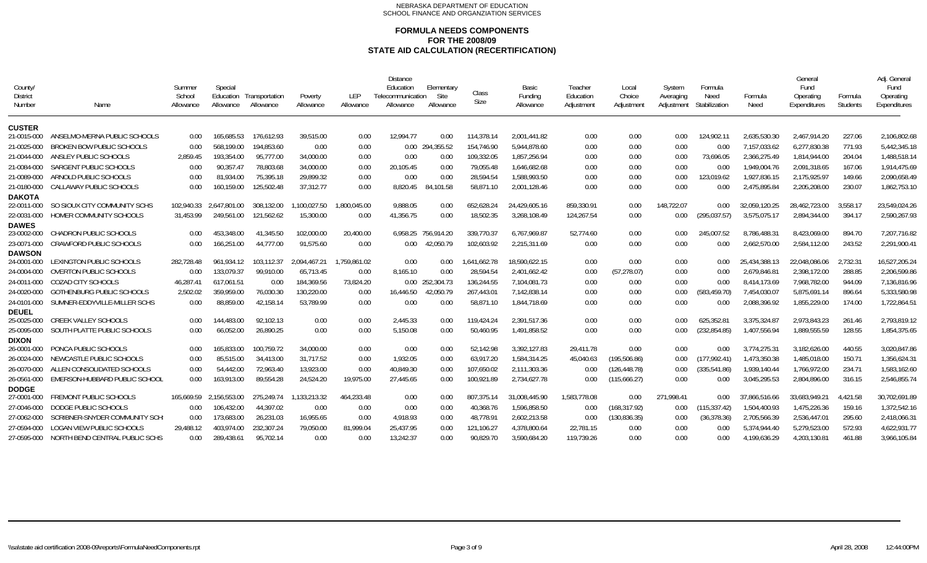| County/<br><b>District</b><br>Number | Name                                                      | Summer<br>School<br>Allowance | Special<br>Education<br>Allowance | Transportation<br>Allowance | Poverty<br>Allowance | LEP<br>Allowance | <b>Distance</b><br>Education<br>Telecommunication<br>Allowance | <b>Elementary</b><br>Site<br>Allowance | Class<br>Size           | Basic<br>Funding<br>Allowance | Teacher<br>Education<br>Adjustment | Local<br>Choice<br>Adjustment | System<br>Averaging<br>Adjustment | Formula<br>Need<br>Stabilization | Formula<br>Need              | General<br>Fund<br>Operating<br>Expenditures | Formula<br>Students | Adj. Genera<br>Fund<br>Operating<br>Expenditures |
|--------------------------------------|-----------------------------------------------------------|-------------------------------|-----------------------------------|-----------------------------|----------------------|------------------|----------------------------------------------------------------|----------------------------------------|-------------------------|-------------------------------|------------------------------------|-------------------------------|-----------------------------------|----------------------------------|------------------------------|----------------------------------------------|---------------------|--------------------------------------------------|
| <b>CUSTER</b>                        |                                                           |                               |                                   |                             |                      |                  |                                                                |                                        |                         |                               |                                    |                               |                                   |                                  |                              |                                              |                     |                                                  |
| 21-0015-000<br>21-0025-000           | ANSELMO-MERNA PUBLIC SCHOOLS<br>BROKEN BOW PUBLIC SCHOOLS | 0.00<br>0.00                  | 165,685.53<br>568.199.00          | 176,612.93<br>194,853.60    | 39,515.00<br>0.00    | 0.00<br>0.00     | 12,994.77                                                      | 0.00<br>0.00 294,355.52                | 114,378.1<br>154.746.90 | 2,001,441.82<br>5.944.878.60  | 0.00<br>0.00                       | 0.00<br>0.00                  | 0.00<br>0.00                      | 124,902.1<br>0.00                | 2,635,530.30<br>7,157,033.62 | 2,467,914.20<br>6.277.830.38                 | 227.06<br>771.93    | 2,106,802.68<br>5,442,345.18                     |
| 21-0044-000                          | ANSLEY PUBLIC SCHOOLS                                     | 2,859.45                      | 193,354.00                        | 95,777.00                   | 34,000.00            | 0.00             | 0.00                                                           | 0.00                                   | 109,332.05              | 1,857,256.94                  | 0.00                               | 0.00                          | 0.00                              | 73,696.05                        | 2,366,275.49                 | 1,814,944.00                                 | 204.04              | 1,488,518.14                                     |
| 21-0084-000                          | SARGENT PUBLIC SCHOOLS                                    | 0.00                          | 90,357.47                         | 78,803.68                   | 34,000.00            | 0.00             | 20,105.45                                                      | 0.00                                   | 79,055.48               | 1.646.682.68                  | 0.00                               | 0.00                          | 0.00                              | 0.00                             | 1.949.004.76                 | 2,091,318.65                                 | 167.06              | 1,914,475.69                                     |
| 21-0089-000                          | ARNOLD PUBLIC SCHOOLS                                     | 0.00                          | 81,934.00                         | 75,395.18                   | 29,899.32            | 0.00             | 0.00                                                           | 0.00                                   | 28,594.54               | 1,588,993.50                  | 0.00                               | 0.00                          | 0.00                              | 123,019.62                       | 1,927,836.15                 | 2,175,925.97                                 | 149.66              | 2,090,658.49                                     |
| 21-0180-000                          | CALLAWAY PUBLIC SCHOOLS                                   | 0.00                          | 160.159.00                        | 125,502.48                  | 37,312.77            | 0.00             | 8,820.45                                                       | 84.101.58                              | 58.871.10               | 2,001,128.46                  | 0.00                               | 0.00                          | 0.00                              | 0.00                             | 2,475,895.84                 | 2,205,208.00                                 | 230.07              | 1,862,753.10                                     |
| <b>DAKOTA</b>                        |                                                           |                               |                                   |                             |                      |                  |                                                                |                                        |                         |                               |                                    |                               |                                   |                                  |                              |                                              |                     |                                                  |
| 22-0011-000                          | SO SIOUX CITY COMMUNITY SCHS                              | 102,940.33                    | 2.647.801.00                      | 308,132.00                  | ,100,027.50          | 1,800,045.00     | 9,888.05                                                       | 0.00                                   | 652,628.24              | 24,429,605.16                 | 859,330.91                         | 0.00                          | 148,722.07                        | 0.00                             | 32,059,120.25                | 28,462,723.00                                | 3,558.17            | 23,549,024.26                                    |
| 22-0031-000                          | HOMER COMMUNITY SCHOOLS                                   | 31,453.99                     | 249.561.00                        | 121,562.62                  | 15,300.00            | 0.00             | 41,356.75                                                      | 0.00                                   | 18,502.35               | 3,268,108.49                  | 124.267.54                         | 0.00                          | 0.00                              | (295, 037.57)                    | 3,575,075.17                 | 2.894.344.00                                 | 394.17              | 2,590,267.93                                     |
| <b>DAWES</b>                         |                                                           |                               |                                   |                             |                      |                  |                                                                |                                        |                         |                               |                                    |                               |                                   |                                  |                              |                                              |                     |                                                  |
| 23-0002-000                          | CHADRON PUBLIC SCHOOLS                                    | 0.00                          | 453.348.00                        | 41.345.50                   | 102,000.00           | 20,400.00        |                                                                | 6,958.25 756,914.20                    | 339,770.37              | 6,767,969.87                  | 52.774.60                          | 0.00                          | 0.00                              | 245,007.52                       | 8,786,488.3                  | 8,423,069.00                                 | 894.70              | 7,207,716.82                                     |
| 23-0071-000                          | <b>CRAWFORD PUBLIC SCHOOLS</b>                            | 0.00                          | 166,251.00                        | 44.777.00                   | 91,575.60            | 0.00             | 0.00                                                           | 42,050.79                              | 102,603.92              | 2,215,311.69                  | 0.00                               | 0.00                          | 0.00                              | 0.00                             | 2,662,570.00                 | 2,584,112.00                                 | 243.52              | 2,291,900.41                                     |
| <b>DAWSON</b><br>24-0001-000         | LEXINGTON PUBLIC SCHOOLS                                  | 282,728.48                    | 961.934.12                        | 103.112.37                  | 2,094,467.21         | 1,759,861.02     | 0.00                                                           | 0.00                                   | 1,641,662.78            | 18,590,622.15                 | 0.00                               | 0.00                          | 0.00                              | 0.00                             | 25,434,388.13                | 22,048,086.06                                | 2,732.31            | 16,527,205.24                                    |
| 24-0004-000                          | <b>OVERTON PUBLIC SCHOOLS</b>                             | 0.00                          | 133.079.37                        | 99,910.00                   | 65.713.45            | 0.00             | 8,165.10                                                       | 0.00                                   | 28,594.54               | 2.401.662.42                  | 0.00                               | (57, 278.07)                  | 0.00                              | 0.00                             | 2.679.846.8                  | 2,398,172.00                                 | 288.85              | 2,206,599.86                                     |
| 24-0011-000                          | <b>COZAD CITY SCHOOLS</b>                                 | 46,287.41                     | 617,061.51                        | 0.00                        | 184,369.56           | 73,824.20        |                                                                | 0.00 252,304.73                        | 136,244.55              | 7,104,081.73                  | 0.00                               | 0.00                          | 0.00                              | 0.00                             | 8,414,173.69                 | 7,968,782.00                                 | 944.09              | 7,136,816.96                                     |
| 24-0020-000                          | GOTHENBURG PUBLIC SCHOOLS                                 | 2,502.02                      | 359,959.00                        | 76,030.30                   | 130.220.00           | 0.00             | 16,446.50                                                      | 42,050.79                              | 267,443.01              | 7,142,838.14                  | 0.00                               | 0.00                          | 0.00                              | (583, 459.70)                    | 7,454,030.07                 | 5.875.691.14                                 | 896.64              | 5,333,580.98                                     |
| 24-0101-000                          | SUMNER-EDDYVILLE-MILLER SCHS                              | 0.00                          | 88,859.00                         | 42,158.14                   | 53,789.99            | 0.00             | 0.00                                                           | 0.00                                   | 58,871.10               | 1,844,718.69                  | 0.00                               | 0.00                          | 0.00                              | 0.00                             | 2,088,396.92                 | 1,855,229.00                                 | 174.00              | 1,722,864.51                                     |
| <b>DEUEL</b>                         |                                                           |                               |                                   |                             |                      |                  |                                                                |                                        |                         |                               |                                    |                               |                                   |                                  |                              |                                              |                     |                                                  |
| 25-0025-000                          | <b>CREEK VALLEY SCHOOLS</b>                               | 0.00                          | 144.483.00                        | 92.102.13                   | 0.00                 | 0.00             | 2.445.33                                                       | 0.00                                   | 119.424.24              | 2.391.517.36                  | 0.00                               | 0.00                          | 0.00                              | 625.352.8                        | 3.375.324.87                 | 2.973.843.23                                 | 261.46              | 2.793.819.12                                     |
| 25-0095-000                          | SOUTH PLATTE PUBLIC SCHOOLS                               | 0.00                          | 66,052.00                         | 26,890.25                   | 0.00                 | 0.00             | 5,150.08                                                       | 0.00                                   | 50,460.95               | 1,491,858.52                  | 0.00                               | 0.00                          | 0.00                              | (232, 854.85)                    | 1,407,556.94                 | 1,889,555.59                                 | 128.55              | 1,854,375.65                                     |
| <b>DIXON</b>                         |                                                           |                               |                                   |                             |                      |                  |                                                                |                                        |                         |                               |                                    |                               |                                   |                                  |                              |                                              |                     |                                                  |
| 26-0001-000                          | PONCA PUBLIC SCHOOLS                                      | 0.00                          | 165,833.00                        | 100.759.72                  | 34,000.00            | 0.00             | 0.00                                                           | 0.00                                   | 52.142.98               | 3,392,127.83                  | 29,411.78                          | 0.00                          | 0.00                              | 0.00                             | 3,774,275.31                 | 3,182,626.00                                 | 440.55              | 3,020,847.86                                     |
| 26-0024-000                          | NEWCASTLE PUBLIC SCHOOLS                                  | 0.00                          | 85,515.00                         | 34.413.00                   | 31.717.52            | 0.00             | 1,932.05                                                       | 0.00                                   | 63.917.20               | 1,584,314.25                  | 45,040.63                          | (195, 506.86)                 | 0.00                              | (177, 992.41)                    | 1,473,350.38                 | 1.485.018.00                                 | 150.71              | 1,356,624.31                                     |
| 26-0070-000                          | ALLEN CONSOLIDATED SCHOOLS                                | 0.00                          | 54.442.00                         | 72.963.40                   | 13.923.00            | 0.00             | 40.849.30                                                      | 0.00                                   | 107.650.02              | 2.111.303.36                  | 0.00                               | (126, 448.78)                 | 0.00                              | (335,541.86)                     | 1.939.140.44                 | 1.766.972.00                                 | 234.71              | 1,583,162.60                                     |
| 26-0561-000                          | EMERSON-HUBBARD PUBLIC SCHOOL                             | 0.00                          | 163,913.00                        | 89,554.28                   | 24,524.20            | 19,975.00        | 27,445.65                                                      | 0.00                                   | 100,921.89              | 2,734,627.78                  | 0.00                               | (115,666.27)                  | 0.00                              | 0.00                             | 3,045,295.53                 | 2,804,896.00                                 | 316.15              | 2,546,855.74                                     |
| <b>DODGE</b><br>27-0001-000          | FREMONT PUBLIC SCHOOLS                                    | 165.669.59                    | 2.156.553.00                      | 275,249.74                  | 1,133,213.32         | 464.233.48       | 0.00                                                           | 0.00                                   | 807.375.14              | 31.008.445.90                 | 1,583,778.08                       | 0.00                          | 271.998.41                        | 0.00                             | 37.866.516.66                | 33,683,949.21                                | 4.421.58            | 30,702,691.89                                    |
| 27-0046-000                          | DODGE PUBLIC SCHOOLS                                      | 0.00                          | 106,432.00                        | 44,397.02                   | 0.00                 | 0.00             | 0.00                                                           | 0.00                                   | 40,368.76               | 1,596,858.50                  | 0.00                               | (168, 317.92)                 | 0.00                              | (115, 337.42)                    | 1,504,400.93                 | 1,475,226.36                                 | 159.16              | 1,372,542.16                                     |
| 27-0062-000                          | SCRIBNER-SNYDER COMMUNITY SCH                             | 0.00                          | 173.683.00                        | 26.231.03                   | 16.955.65            | 0.00             | 4.918.93                                                       | 0.00                                   | 48.778.91               | 2.602.213.58                  | 0.00                               | (130, 836.35)                 | 0.00                              | (36, 378.36)                     | 2,705,566.39                 | 2.536.447.01                                 | 295.60              | 2,418,066.31                                     |
| 27-0594-000                          | <b>LOGAN VIEW PUBLIC SCHOOLS</b>                          | 29,488.12                     | 403,974.00                        | 232,307.24                  | 79.050.00            | 81.999.04        | 25,437.95                                                      | 0.00                                   | 121.106.27              | 4.378.800.64                  | 22.781.15                          | 0.00                          | 0.00                              | 0.00                             | 5.374.944.40                 | 5,279,523.00                                 | 572.93              | 4,622,931.77                                     |
| 27-0595-000                          | NORTH BEND CENTRAL PUBLIC SCHS                            | 0.00                          | 289.438.61                        | 95.702.14                   | 0.00                 | 0.00             | 13.242.37                                                      | 0.00                                   | 90.829.70               | 3.590.684.20                  | 119.739.26                         | 0.00                          | 0.00                              | 0.00                             | 4.199.636.29                 | 4.203.130.81                                 | 461.88              | 3,966,105.84                                     |
|                                      |                                                           |                               |                                   |                             |                      |                  |                                                                |                                        |                         |                               |                                    |                               |                                   |                                  |                              |                                              |                     |                                                  |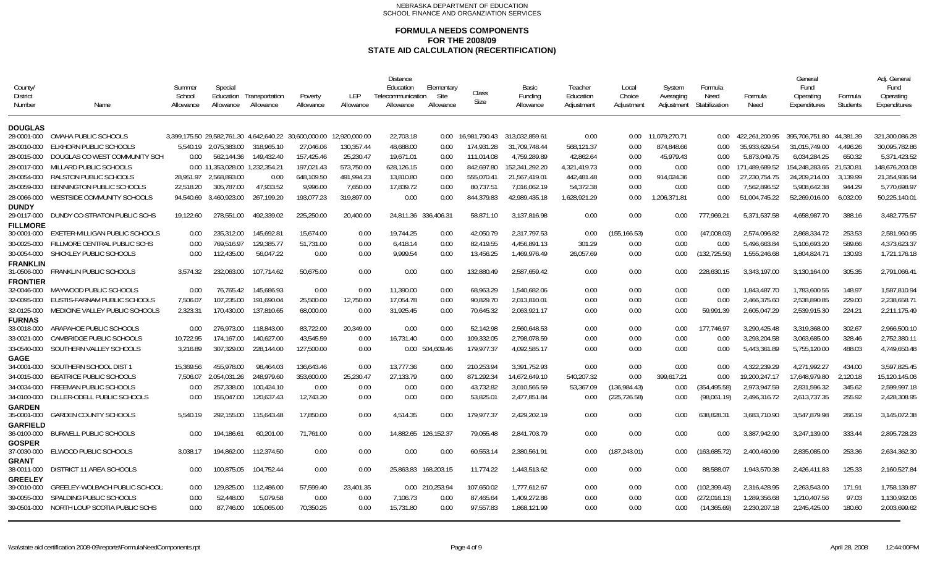| County<br><b>District</b><br>Number | Name                              | Summer<br>School<br>Allowance | Special<br>Education<br>Allowance | Transportation<br>Allowance                           | Poverty<br>Allowance | <b>LEP</b><br>Allowance | <b>Distance</b><br>Education<br>Telecommunication<br>Allowance | Elementary<br>Site<br>Allowance | Class<br>Size | Basic<br>Funding<br>Allowance | Teacher<br>Education<br>Adjustment | Local<br>Choice<br>Adjustment | System<br>Averaging<br>Adjustment | Formula<br>Need<br>Stabilization | Formula<br>Need | General<br>Fund<br>Operating<br>Expenditures | Formula<br><b>Students</b> | Adi. General<br>Fund<br>Operating<br>Expenditures |
|-------------------------------------|-----------------------------------|-------------------------------|-----------------------------------|-------------------------------------------------------|----------------------|-------------------------|----------------------------------------------------------------|---------------------------------|---------------|-------------------------------|------------------------------------|-------------------------------|-----------------------------------|----------------------------------|-----------------|----------------------------------------------|----------------------------|---------------------------------------------------|
| <b>DOUGLAS</b>                      |                                   |                               |                                   |                                                       |                      |                         |                                                                |                                 |               |                               |                                    |                               |                                   |                                  |                 |                                              |                            |                                                   |
| 28-0001-000                         | OMAHA PUBLIC SCHOOLS              |                               |                                   | 3.399.175.50 29.582.761.30 4.642.640.22 30.600.000.00 |                      | 12.920.000.00           | 22,703.18                                                      | 0.00                            | 16.981.790.43 | 313.032.859.61                | 0.00                               | 0.00                          | 11.079.270.71                     | 0.00                             | 422.261.200.95  | 395.706.751.80 44.381.39                     |                            | 321.300.086.28                                    |
| 28-0010-000                         | ELKHORN PUBLIC SCHOOLS            |                               | 5,540.19 2,075,383.00             | 318,965.10                                            | 27,046.06            | 130,357.44              | 48,688.00                                                      | 0.00                            | 174,931.28    | 31,709,748.44                 | 568,121.37                         | 0.00                          | 874,848.66                        | 0.00                             | 35,933,629.54   | 31,015,749.00                                | 4,496.26                   | 30,095,782.86                                     |
| 28-0015-000                         | DOUGLAS CO WEST COMMUNITY SCH     | 0.00                          | 562.144.36                        | 149,432.40                                            | 157,425.46           | 25,230.47               | 19,671.01                                                      | 0.00                            | 111.014.08    | 4,759,289.89                  | 42,862.64                          | 0.00                          | 45.979.43                         | 0.00                             | 5.873.049.75    | 6,034,284.25                                 | 650.32                     | 5,371,423.52                                      |
| 28-0017-000                         | MILLARD PUBLIC SCHOOLS            |                               | 0.00 11,353,028.00 1,232,354.21   |                                                       | 197.021.43           | 573,750.00              | 628,126.15                                                     | 0.00                            | 842.697.80    | 152,341,292.20                | 4,321,419.73                       | 0.00                          | 0.00                              | 0.00                             | 171.489.689.52  | 154,248,283.65 21,530.81                     |                            | 148,676,203.08                                    |
| 28-0054-000                         | RALSTON PUBLIC SCHOOLS            | 28,951.97                     | 2.568.893.00                      | 0.00                                                  | 648,109.50           | 491,994.23              | 13,810.80                                                      | 0.00                            | 555,070.41    | 21,567,419.01                 | 442,481.48                         | 0.00                          | 914,024.36                        | 0.00                             | 27,230,754.75   | 24,209,214.00                                | 3.139.99                   | 21,354,936.94                                     |
| 28-0059-000                         | BENNINGTON PUBLIC SCHOOLS         | 22,518.20                     | 305,787.00                        | 47,933.52                                             | 9,996.00             | 7,650.00                | 17,839.72                                                      | 0.00                            | 80,737.51     | 7,016,062.19                  | 54,372.38                          | 0.00                          | 0.00                              | 0.00                             | 7,562,896.52    | 5,908,642.38                                 | 944.29                     | 5,770,698.97                                      |
| 28-0066-000                         | <b>WESTSIDE COMMUNITY SCHOOLS</b> | 94.540.69                     | 3,460,923.00                      | 267.199.20                                            | 193,077.23           | 319,897.00              | 0.00                                                           | 0.00                            | 844,379.83    | 42,989,435.18                 | 1,628,921.29                       | 0.00                          | 1,206,371.81                      | 0.00                             | 51,004,745.22   | 52,269,016.00                                | 6,032.09                   | 50,225,140.01                                     |
| <b>DUNDY</b>                        |                                   |                               |                                   |                                                       |                      |                         |                                                                |                                 |               |                               |                                    |                               |                                   |                                  |                 |                                              |                            |                                                   |
| 29-0117-000                         | DUNDY CO-STRATON PUBLIC SCHS      | 19,122.60                     | 278.551.00                        | 492.339.02                                            | 225,250.00           | 20,400.00               | 24,811.36 336,406.31                                           |                                 | 58,871.10     | 3,137,816.98                  | 0.00                               | 0.00                          | 0.00                              | 777.969.21                       | 5,371,537.58    | 4,658,987.70                                 | 388.16                     | 3,482,775.57                                      |
| <b>FILLMORE</b>                     | EXETER-MILLIGAN PUBLIC SCHOOLS    |                               | 235,312.00                        | 145,692.8                                             | 15,674.00            |                         | 19,744.25                                                      |                                 | 42,050.79     | 2,317,797.53                  |                                    |                               |                                   |                                  | 2,574,096.82    | 2,868,334.72                                 | 253.53                     | 2,581,960.95                                      |
| 30-0001-000                         |                                   | 0.00                          |                                   |                                                       |                      | 0.00                    |                                                                | 0.00                            |               |                               | 0.00                               | (155, 166.53)                 | 0.00                              | (47,008.03)                      |                 |                                              |                            |                                                   |
| 30-0025-000                         | FILLMORE CENTRAL PUBLIC SCHS      | 0.00                          | 769.516.97                        | 129,385.77                                            | 51,731.00            | 0.00                    | 6,418.14                                                       | 0.00                            | 82,419.55     | 4,456,891.13                  | 301.29                             | 0.00                          | 0.00                              | 0.00                             | 5,496,663.84    | 5,106,693.20                                 | 589.66                     | 4,373,623.37                                      |
| 30-0054-000                         | SHICKLEY PUBLIC SCHOOLS           | 0.00                          | 112,435.00                        | 56,047.22                                             | 0.00                 | 0.00                    | 9,999.54                                                       | 0.00                            | 13,456.25     | 1,469,976.49                  | 26,057.69                          | 0.00                          | 0.00                              | (132, 725.50)                    | 1,555,246.68    | 1,804,824.71                                 | 130.93                     | 1,721,176.18                                      |
| <b>FRANKLIN</b><br>31-0506-000      | FRANKLIN PUBLIC SCHOOLS           | 3,574.32                      | 232.063.00                        | 107.714.62                                            | 50,675.00            | 0.00                    | 0.00                                                           | 0.00                            | 132,880.49    | 2,587,659.42                  | 0.00                               | 0.00                          | 0.00                              | 228,630.15                       | 3,343,197.00    | 3,130,164.00                                 | 305.35                     | 2,791,066.41                                      |
| <b>FRONTIER</b>                     |                                   |                               |                                   |                                                       |                      |                         |                                                                |                                 |               |                               |                                    |                               |                                   |                                  |                 |                                              |                            |                                                   |
| 32-0046-000                         | MAYWOOD PUBLIC SCHOOLS            | 0.00                          | 76.765.42                         | 145.686.93                                            | 0.00                 | 0.00                    | 11.390.00                                                      | 0.00                            | 68.963.29     | 1.540.682.06                  | 0.00                               | 0.00                          | 0.00                              | 0.00                             | 1.843.487.70    | 1.783.600.55                                 | 148.97                     | 1.587.810.94                                      |
| 32-0095-000                         | EUSTIS-FARNAM PUBLIC SCHOOLS      | 7,506.07                      | 107,235.00                        | 191,690.04                                            | 25,500.00            | 12,750.00               | 17,054.78                                                      | 0.00                            | 90,829.70     | 2,013,810.01                  | 0.00                               | 0.00                          | 0.00                              | 0.00                             | 2,466,375.60    | 2,538,890.85                                 | 229.00                     | 2,238,658.71                                      |
| 32-0125-000                         | MEDICINE VALLEY PUBLIC SCHOOLS    | 2,323.31                      | 170,430.00                        | 137,810.65                                            | 68,000.00            | 0.00                    | 31,925.45                                                      | 0.00                            | 70,645.32     | 2,063,921.17                  | 0.00                               | 0.00                          | 0.00                              | 59,991.39                        | 2,605,047.29    | 2,539,915.30                                 | 224.21                     | 2,211,175.49                                      |
| <b>FURNAS</b>                       |                                   |                               |                                   |                                                       |                      |                         |                                                                |                                 |               |                               |                                    |                               |                                   |                                  |                 |                                              |                            |                                                   |
| 33-0018-000                         | ARAPAHOE PUBLIC SCHOOLS           | 0.00                          | 276.973.00                        | 118,843.00                                            | 83.722.00            | 20.349.00               | 0.00                                                           | 0.00                            | 52.142.98     | 2.560.648.53                  | 0.00                               | 0.00                          | 0.00                              | 177.746.97                       | 3.290.425.48    | 3.319.368.00                                 | 302.67                     | 2,966,500.10                                      |
| 33-0021-000                         | CAMBRIDGE PUBLIC SCHOOLS          | 10,722.95                     | 174.167.00                        | 140,627.00                                            | 43,545.59            | 0.00                    | 16,731.40                                                      | 0.00                            | 109,332.05    | 2,798,078.59                  | 0.00                               | 0.00                          | 0.00                              | 0.00                             | 3,293,204.58    | 3,063,685.00                                 | 328.46                     | 2,752,380.11                                      |
| 33-0540-000                         | SOUTHERN VALLEY SCHOOLS           | 3,216.89                      | 307,329.00                        | 228,144.00                                            | 127,500.00           | 0.00                    |                                                                | 0.00 504,609.46                 | 179,977.37    | 4,092,585.17                  | 0.00                               | 0.00                          | 0.00                              | 0.00                             | 5,443,361.89    | 5,755,120.00                                 | 488.03                     | 4,749,650.48                                      |
| <b>GAGE</b><br>34-0001-000          | SOUTHERN SCHOOL DIST 1            | 15.369.56                     | 455.978.00                        | 98.464.03                                             | 136.643.46           | 0.00                    | 13.777.36                                                      | 0.00                            | 210.253.94    | 3.391.752.93                  | 0.00                               | 0.00                          | 0.00                              | 0.00                             | 4.322.239.29    | 4.271.992.27                                 | 434.00                     | 3.597.825.45                                      |
| 34-0015-000                         | <b>BEATRICE PUBLIC SCHOOLS</b>    | 7,506.07                      | 2,054,031.26                      | 248,979.60                                            | 353,600.00           | 25,230.47               | 27,133.79                                                      | 0.00                            | 871,292.34    | 14,672,649.10                 | 540,207.32                         | 0.00                          | 399.617.21                        | 0.00                             | 19,200,247.17   | 17,648,979.80                                | 2,120.18                   | 15,120,145.06                                     |
| 34-0034-000                         | <b>FREEMAN PUBLIC SCHOOLS</b>     | 0.00                          | 257.338.00                        | 100,424.10                                            | 0.00                 | 0.00                    | 0.00                                                           | 0.00                            | 43,732.82     | 3,010,565.59                  | 53,367.09                          | (136,984.43)                  | 0.00                              | (354, 495.58)                    | 2,973,947.59    | 2,831,596.32                                 | 345.62                     | 2,599,997.18                                      |
| 34-0100-000                         | DILLER-ODELL PUBLIC SCHOOLS       | 0.00                          | 155,047.00                        | 120,637.43                                            | 12,743.20            | 0.00                    | 0.00                                                           | 0.00                            | 53,825.01     | 2,477,851.84                  | 0.00                               | (225, 726.58)                 | 0.00                              | (98,061.19)                      | 2,496,316.72    | 2,613,737.35                                 | 255.92                     | 2,428,308.95                                      |
| <b>GARDEN</b>                       |                                   |                               |                                   |                                                       |                      |                         |                                                                |                                 |               |                               |                                    |                               |                                   |                                  |                 |                                              |                            |                                                   |
| 35-0001-000                         | <b>GARDEN COUNTY SCHOOLS</b>      | 5.540.19                      | 292.155.00                        | 115,643.48                                            | 17,850.00            | 0.00                    | 4,514.35                                                       | 0.00                            | 179,977.37    | 2,429,202.19                  | 0.00                               | 0.00                          | 0.00                              | 638,828.31                       | 3,683,710.90    | 3,547,879.98                                 | 266.19                     | 3,145,072.38                                      |
| <b>GARFIELD</b><br>36-0100-000      | <b>BURWELL PUBLIC SCHOOLS</b>     | 0.00                          | 194.186.61                        | 60.201.00                                             | 71.761.00            | 0.00                    | 14,882.65                                                      | 126.152.37                      | 79.055.48     | 2.841.703.79                  | 0.00                               | 0.00                          | 0.00                              | 0.00                             | 3.387.942.90    | 3.247.139.00                                 | 333.44                     | 2.895.728.23                                      |
| <b>GOSPER</b>                       |                                   |                               |                                   |                                                       |                      |                         |                                                                |                                 |               |                               |                                    |                               |                                   |                                  |                 |                                              |                            |                                                   |
| 37-0030-000                         | ELWOOD PUBLIC SCHOOLS             | 3.038.17                      | 194.862.00                        | 112.374.50                                            | 0.00                 | 0.00                    | 0.00                                                           | 0.00                            | 60,553.14     | 2,380,561.91                  | 0.00                               | (187, 243.01)                 | 0.00                              | (163, 685.72)                    | 2,400,460.99    | 2.835.085.00                                 | 253.36                     | 2,634,362.30                                      |
| <b>GRANT</b><br>38-0011-000         | DISTRICT 11 AREA SCHOOLS          | 0.00                          | 100.875.05                        | 104,752.44                                            | 0.00                 | 0.00                    | 25,863.83 168,203.15                                           |                                 | 11.774.22     | 1,443,513.62                  | 0.00                               | 0.00                          | 0.00                              | 88,588.07                        | 1,943,570.38    | 2,426,411.83                                 | 125.33                     | 2,160,527.84                                      |
| <b>GREELEY</b>                      |                                   |                               |                                   |                                                       |                      |                         |                                                                |                                 |               |                               |                                    |                               |                                   |                                  |                 |                                              |                            |                                                   |
| 39-0010-000                         | GREELEY-WOLBACH PUBLIC SCHOOL     | 0.00                          | 129,825.00                        | 112,486.00                                            | 57,599.40            | 23,401.35               |                                                                | 0.00 210,253.94                 | 107,650.02    | 1,777,612.67                  | 0.00                               | 0.00                          | 0.00                              | (102, 399.43)                    | 2,316,428.95    | 2,263,543.00                                 | 171.91                     | 1,758,139.87                                      |
| 39-0055-000                         | SPALDING PUBLIC SCHOOLS           | 0.00                          | 52,448.00                         | 5,079.58                                              | 0.00                 | 0.00                    | 7,106.73                                                       | 0.00                            | 87,465.64     | 1,409,272.86                  | 0.00                               | 0.00                          | 0.00                              | (272, 016.13)                    | 1,289,356.68    | 1,210,407.56                                 | 97.03                      | 1,130,932.06                                      |
| 39-0501-000                         | NORTH LOUP SCOTIA PUBLIC SCHS     | 0.00                          | 87,746.00                         | 105,065.00                                            | 70,350.25            | 0.00                    | 15,731.80                                                      | 0.00                            | 97,557.83     | 1,868,121.99                  | 0.00                               | 0.00                          | 0.00                              | (14, 365.69)                     | 2,230,207.18    | 2,245,425.00                                 | 180.60                     | 2,003,699.62                                      |
|                                     |                                   |                               |                                   |                                                       |                      |                         |                                                                |                                 |               |                               |                                    |                               |                                   |                                  |                 |                                              |                            |                                                   |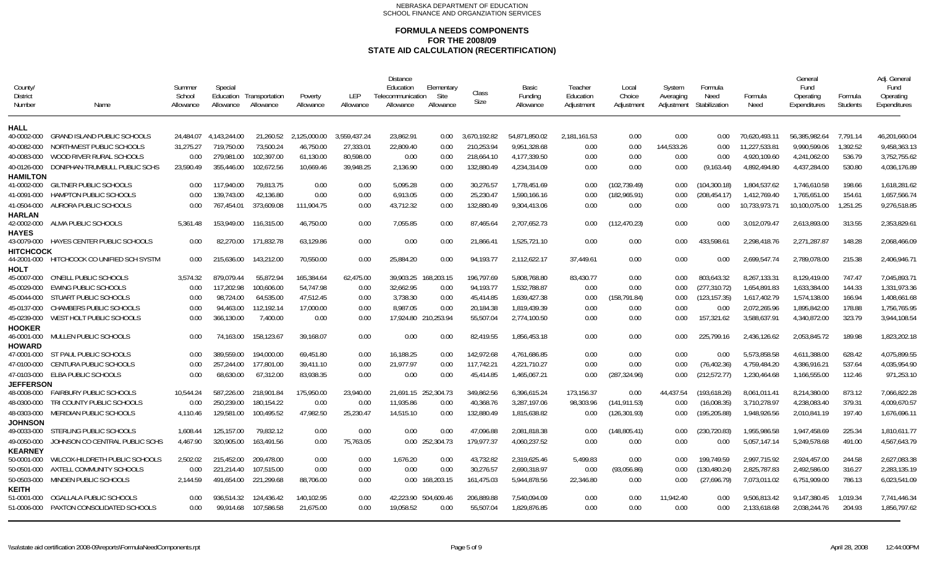| County/<br>District<br>Number | Name                                                           | Summer<br>School<br>Allowance | Special<br>Education<br>Allowance | Transportation<br>Allowance | Poverty<br>Allowance      | LEP<br>Allowance          | <b>Distance</b><br>Education<br>Telecommunication<br>Allowance | Elementary<br>Site<br>Allowance | Class<br>Size              | Basic<br>Funding<br>Allowance | Teacher<br>Education<br>Adjustment | Local<br>Choice<br>Adjustment | System<br>Averaging<br>Adjustment | Formula<br>Need<br>Stabilization | Formula<br>Need                | General<br>Fund<br>Operating<br>Expenditures | Formula<br><b>Students</b> | Adi. General<br>Fund<br>Operating<br>Expenditures |
|-------------------------------|----------------------------------------------------------------|-------------------------------|-----------------------------------|-----------------------------|---------------------------|---------------------------|----------------------------------------------------------------|---------------------------------|----------------------------|-------------------------------|------------------------------------|-------------------------------|-----------------------------------|----------------------------------|--------------------------------|----------------------------------------------|----------------------------|---------------------------------------------------|
| HALL                          |                                                                |                               |                                   |                             |                           |                           |                                                                |                                 |                            |                               |                                    |                               |                                   |                                  |                                |                                              |                            |                                                   |
| 40-0002-000<br>40-0082-000    | <b>GRAND ISLAND PUBLIC SCHOOLS</b><br>NORTHWEST PUBLIC SCHOOLS | 24.484.07<br>31.275.27        | 4.143.244.00<br>719.750.00        | 21.260.52<br>73.500.24      | 2.125.000.00<br>46.750.00 | 3.559.437.24<br>27.333.01 | 23.862.91<br>22.809.40                                         | 0.00<br>0.00                    | 3.670.192.82<br>210.253.94 | 54.871.850.02<br>9.951.328.68 | 2,181,161.53<br>0.00               | 0.00<br>0.00                  | 0.00<br>144.533.26                | 0.00<br>0.00                     | 70.620.493.11<br>11.227.533.81 | 56.385.982.64<br>9.990.599.06                | 7.791.14<br>1.392.52       | 46.201.660.04<br>9.458.363.13                     |
| 40-0083-000                   | WOOD RIVER RURAL SCHOOLS                                       | 0.00                          | 279,981.00                        | 102,397.00                  | 61,130.00                 | 80,598.00                 | 0.00                                                           | 0.00                            | 218,664.10                 | 4,177,339.50                  | 0.00                               | 0.00                          | 0.00                              | 0.00                             | 4,920,109.60                   | 4,241,062.00                                 | 536.79                     | 3,752,755.62                                      |
| 40-0126-000                   | DONIPHAN-TRUMBULL PUBLIC SCHS                                  | 23,590.49                     | 355,446.00                        | 102,672.56                  | 10,669.46                 | 39,948.25                 | 2,136.90                                                       | 0.00                            | 132,880.49                 | 4,234,314.09                  | 0.00                               | 0.00                          | 0.00                              | (9, 163.44)                      | 4,892,494.80                   | 4,437,284.00                                 | 530.80                     | 4,036,176.89                                      |
| <b>HAMILTON</b>               |                                                                |                               |                                   |                             |                           |                           |                                                                |                                 |                            |                               |                                    |                               |                                   |                                  |                                |                                              |                            |                                                   |
| 41-0002-000                   | <b>GILTNER PUBLIC SCHOOLS</b>                                  | 0.00                          | 117,940.00                        | 79.813.75                   | 0.00                      | 0.00                      | 5.095.28                                                       | 0.00                            | 30.276.57                  | 1.778.451.69                  | 0.00                               | (102.739.49)                  | 0.00                              | (104.300.18)                     | 1.804.537.62                   | 1.746.610.58                                 | 198.66                     | 1.618.281.62                                      |
| 41-0091-000                   | HAMPTON PUBLIC SCHOOLS                                         | 0.00                          | 139,743.00                        | 42,136.80                   | 0.00                      | 0.00                      | 6,913.05                                                       | 0.00                            | 25,230.47                  | 1,590,166.16                  | 0.00                               | (182, 965.91)                 | 0.00                              | (208, 454.17)                    | 1,412,769.40                   | 1,765,651.00                                 | 154.61                     | 1,657,566.74                                      |
| 41-0504-000                   | AURORA PUBLIC SCHOOLS                                          | 0.00                          | 767,454.01                        | 373,609.08                  | 111,904.75                | 0.00                      | 43,712.32                                                      | 0.00                            | 132,880.49                 | 9,304,413.06                  | 0.00                               | 0.00                          | 0.00                              | 0.00                             | 10,733,973.71                  | 10,100,075.00                                | 1,251.25                   | 9,276,518.85                                      |
| <b>HARLAN</b>                 |                                                                |                               |                                   |                             |                           |                           |                                                                |                                 |                            |                               |                                    |                               |                                   |                                  |                                |                                              |                            |                                                   |
| 42-0002-000                   | ALMA PUBLIC SCHOOLS                                            | 5,361.48                      | 153,949.00                        | 116,315.00                  | 46,750.00                 | 0.00                      | 7,055.85                                                       | 0.00                            | 87,465.64                  | 2,707,652.73                  | 0.00                               | (112, 470.23)                 | 0.00                              | 0.00                             | 3,012,079.47                   | 2,613,893.00                                 | 313.55                     | 2,353,829.61                                      |
| <b>HAYES</b><br>43-0079-000   | HAYES CENTER PUBLIC SCHOOLS                                    | 0.00                          | 82.270.00                         | 171.832.78                  | 63,129.86                 | 0.00                      | 0.00                                                           | 0.00                            | 21,866.41                  | 1,525,721.10                  | 0.00                               | 0.00                          | 0.00                              | 433.598.61                       | 2,298,418.76                   | 2.271.287.87                                 | 148.28                     | 2,068,466.09                                      |
| <b>HITCHCOCK</b>              | 44-2001-000 HITCHCOCK CO UNIFIED SCH SYSTM                     | 0.00                          | 215,636.00                        | 143.212.00                  | 70.550.00                 | 0.00                      | 25.884.20                                                      | 0.00                            | 94.193.77                  | 2.112.622.17                  | 37.449.61                          | 0.00                          | 0.00                              | 0.00                             | 2.699.547.74                   | 2.789.078.00                                 | 215.38                     | 2.406.946.71                                      |
| <b>HOLT</b><br>45-0007-000    | O'NEILL PUBLIC SCHOOLS                                         | 3,574.32                      | 879.079.44                        | 55.872.94                   | 165,384.64                | 62,475.00                 | 39,903.25                                                      | 168,203.15                      | 196.797.69                 | 5,808,768.80                  | 83,430.77                          | 0.00                          | 0.00                              | 803.643.32                       | 8,267,133.31                   | 8,129,419.00                                 | 747.47                     | 7,045,893.71                                      |
| 45-0029-000                   | <b>EWING PUBLIC SCHOOLS</b>                                    | 0.00                          | 117,202.98                        | 100,606.00                  | 54,747.98                 | 0.00                      | 32,662.95                                                      | 0.00                            | 94,193.77                  | 1,532,788.87                  | 0.00                               | 0.00                          | 0.00                              | (277, 310.72)                    | 1,654,891.83                   | 1,633,384.00                                 | 144.33                     | 1,331,973.36                                      |
| 45-0044-000                   | STUART PUBLIC SCHOOLS                                          | 0.00                          | 98.724.00                         | 64,535.00                   | 47.512.45                 | 0.00                      | 3,738.30                                                       | 0.00                            | 45.414.85                  | 1,639,427.38                  | 0.00                               | (158, 791.84)                 | 0.00                              | (123, 157.35)                    | 1,617,402.79                   | 1,574,138.00                                 | 166.94                     | 1,408,661.68                                      |
| 45-0137-000                   | <b>CHAMBERS PUBLIC SCHOOLS</b>                                 | 0.00                          | 94,463.00                         | 112,192.14                  | 17,000.00                 | 0.00                      | 8,987.05                                                       | 0.00                            | 20,184.38                  | 1,819,439.39                  | 0.00                               | 0.00                          | 0.00                              | 0.00                             | 2,072,265.96                   | 1,895,842.00                                 | 178.88                     | 1,756,765.95                                      |
| 45-0239-000                   | WEST HOLT PUBLIC SCHOOLS                                       | 0.00                          | 366,130.00                        | 7,400.00                    | 0.00                      | 0.00                      | 17,924.80 210,253.94                                           |                                 | 55.507.04                  | 2,774,100.50                  | 0.00                               | 0.00                          | 0.00                              | 157,321.62                       | 3,588,637.91                   | 4,340,872.00                                 | 323.79                     | 3,944,108.54                                      |
| <b>HOOKER</b>                 |                                                                |                               |                                   |                             |                           |                           |                                                                |                                 |                            |                               |                                    |                               |                                   |                                  |                                |                                              |                            |                                                   |
| 46-0001-000                   | MULLEN PUBLIC SCHOOLS                                          | 0.00                          | 74.163.00                         | 158,123.67                  | 39,168.07                 | 0.00                      | 0.00                                                           | 0.00                            | 82,419.55                  | 1,856,453.18                  | 0.00                               | 0.00                          | 0.00                              | 225,799.16                       | 2,436,126.62                   | 2,053,845.72                                 | 189.98                     | 1,823,202.18                                      |
| <b>HOWARD</b>                 |                                                                |                               |                                   |                             |                           |                           |                                                                |                                 |                            |                               |                                    |                               |                                   |                                  |                                |                                              |                            |                                                   |
| 47-0001-000                   | ST PAUL PUBLIC SCHOOLS<br>CENTURA PUBLIC SCHOOLS               | 0.00                          | 389.559.00<br>257.244.00          | 194,000.00<br>177,801.00    | 69.451.80                 | 0.00                      | 16,188.25<br>21,977.97                                         | 0.00                            | 142.972.68<br>117,742.21   | 4,761,686.85<br>4,221,710.27  | 0.00<br>0.00                       | 0.00<br>0.00                  | 0.00                              | 0.00<br>(76, 402.36)             | 5,573,858.58<br>4,759,484.20   | 4,611,388.00<br>4,386,916.21                 | 628.42<br>537.64           | 4,075,899.55<br>4,035,954.90                      |
| 47-0100-000<br>47-0103-000    | ELBA PUBLIC SCHOOLS                                            | 0.00<br>0.00                  | 68.630.00                         | 67.312.00                   | 39,411.10<br>83.938.35    | 0.00<br>0.00              | 0.00                                                           | 0.00<br>0.00                    | 45,414.85                  | 1,465,067.21                  | 0.00                               | (287, 324.96)                 | 0.00<br>0.00                      | (212, 572.77)                    | 1,230,464.68                   | 1,166,555.00                                 | 112.46                     | 971,253.10                                        |
| <b>JEFFERSON</b>              |                                                                |                               |                                   |                             |                           |                           |                                                                |                                 |                            |                               |                                    |                               |                                   |                                  |                                |                                              |                            |                                                   |
| 48-0008-000                   | <b>FAIRBURY PUBLIC SCHOOLS</b>                                 | 10,544.24                     | 587.226.00                        | 218,901.84                  | 175,950.00                | 23.940.00                 | 21,691.15 252,304.73                                           |                                 | 349.862.56                 | 6,396,615.24                  | 173,156.37                         | 0.00                          | 44.437.54                         | (193, 618.26)                    | 8,061,011.41                   | 8,214,380.00                                 | 873.12                     | 7,066,822.28                                      |
| 48-0300-000                   | TRI COUNTY PUBLIC SCHOOLS                                      | 0.00                          | 250,239.00                        | 180,154.22                  | 0.00                      | 0.00                      | 11,935.86                                                      | 0.00                            | 40,368.76                  | 3,287,197.06                  | 98,303.96                          | (141, 911.53)                 | 0.00                              | (16,008.35)                      | 3,710,278.97                   | 4,238,083.40                                 | 379.31                     | 4,009,670.57                                      |
| 48-0303-000                   | <b>MERIDIAN PUBLIC SCHOOLS</b>                                 | 4.110.46                      | 129.581.00                        | 100.495.52                  | 47.982.50                 | 25,230.47                 | 14,515.10                                                      | 0.00                            | 132,880.49                 | 1,815,638.82                  | 0.00                               | (126, 301.93)                 | 0.00                              | (195, 205.88)                    | 1,948,926.56                   | 2,010,841.19                                 | 197.40                     | 1,676,696.11                                      |
| <b>JOHNSON</b>                |                                                                |                               |                                   |                             |                           |                           |                                                                |                                 |                            |                               |                                    |                               |                                   |                                  |                                |                                              |                            |                                                   |
| 49-0033-000                   | STERLING PUBLIC SCHOOLS                                        | 1,608.44                      | 125,157.00                        | 79,832.12                   | 0.00                      | 0.00                      | 0.00                                                           | 0.00                            | 47,096.88                  | 2,081,818.38                  | 0.00                               | (148, 805.41)                 | 0.00                              | (230, 720.83)                    | 1,955,986.58                   | 1,947,458.69                                 | 225.34                     | 1,810,611.77                                      |
| 49-0050-000                   | JOHNSON CO CENTRAL PUBLIC SCHS                                 | 4,467.90                      | 320.905.00                        | 163.491.56                  | 0.00                      | 75,763.05                 |                                                                | 0.00 252,304.73                 | 179,977.37                 | 4,060,237.52                  | 0.00                               | 0.00                          | 0.00                              | 0.00                             | 5,057,147.14                   | 5,249,578.68                                 | 491.00                     | 4,567,643.79                                      |
| <b>KEARNEY</b>                | WILCOX-HILDRETH PUBLIC SCHOOLS                                 | 2,502.02                      | 215,452.00                        | 209,478.00                  | 0.00                      | 0.00                      | 1,676.20                                                       | 0.00                            | 43,732.82                  | 2,319,625.46                  | 5,499.83                           | 0.00                          | 0.00                              | 199,749.59                       | 2,997,715.92                   | 2,924,457.00                                 | 244.58                     | 2,627,083.38                                      |
| 50-0001-000<br>50-0501-000    | AXTELL COMMUNITY SCHOOLS                                       | 0.00                          | 221,214.40                        | 107.515.00                  | 0.00                      | 0.00                      | 0.00                                                           | 0.00                            | 30,276.57                  | 2,690,318.97                  | 0.00                               | (93,056.86)                   | 0.00                              | (130, 480.24)                    | 2,825,787.83                   | 2,492,586.00                                 | 316.27                     | 2,283,135.19                                      |
| 50-0503-000                   | MINDEN PUBLIC SCHOOLS                                          | 2.144.59                      | 491.654.00                        | 221.299.68                  | 88,706.00                 | 0.00                      |                                                                | 0.00 168,203.15                 | 161,475.03                 | 5,944,878.56                  | 22.346.80                          | 0.00                          | 0.00                              | (27,696.79)                      | 7,073,011.02                   | 6,751,909.00                                 | 786.13                     | 6,023,541.09                                      |
| <b>KEITH</b>                  |                                                                |                               |                                   |                             |                           |                           |                                                                |                                 |                            |                               |                                    |                               |                                   |                                  |                                |                                              |                            |                                                   |
| 51-0001-000                   | OGALLALA PUBLIC SCHOOLS                                        | 0.00                          | 936.514.32                        | 124,436.42                  | 140,102.95                | 0.00                      | 42,223.90 504,609.46                                           |                                 | 206,889.88                 | 7,540,094.09                  | 0.00                               | 0.00                          | 11,942.40                         | 0.00                             | 9,506,813.42                   | 9,147,380.45                                 | 1.019.34                   | 7.741,446.34                                      |
| 51-0006-000                   | PAXTON CONSOLIDATED SCHOOLS                                    | 0.00                          | 99.914.68                         | 107,586.58                  | 21.675.00                 | 0.00                      | 19,058.52                                                      | 0.00                            | 55,507.04                  | 1,829,876.85                  | 0.00                               | 0.00                          | 0.00                              | 0.00                             | 2,133,618.68                   | 2,038,244.76                                 | 204.93                     | 1,856,797.62                                      |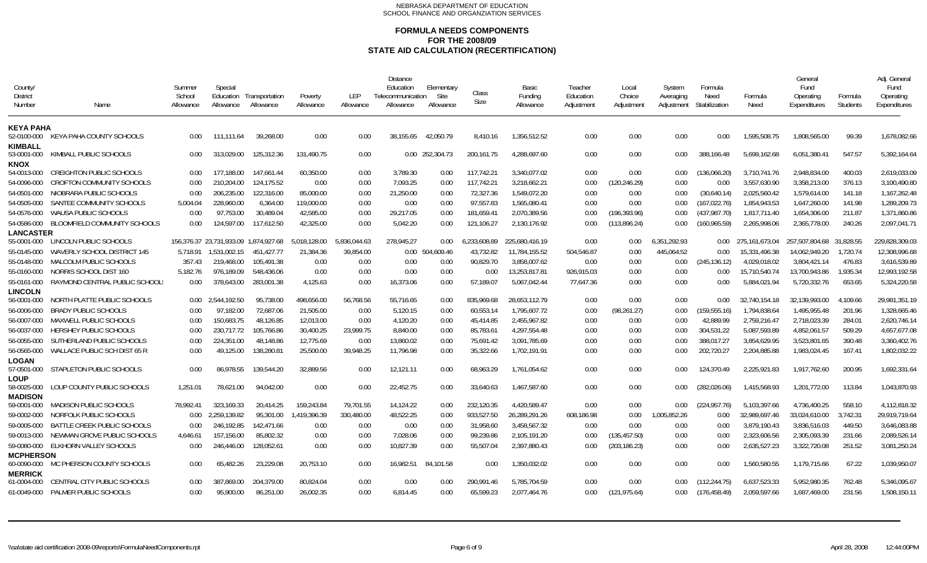| County/<br><b>District</b><br>Number         | Name                               | Summer<br>School<br>Allowance | Special<br>Allowance | Education Transportation<br>Allowance | Poverty<br>Allowance | LEP<br>Allowance | <b>Distance</b><br>Education<br>Telecommunication<br>Allowance | Elementary<br>Site<br>Allowance | <b>Class</b><br>Size | Basic<br>Funding<br>Allowance | Teacher<br>Education<br>Adjustment | Local<br>Choice<br>Adjustment | System<br>Averaging<br>Adjustment | Formula<br>Need<br>Stabilization | Formula<br>Need | General<br>Fund<br>Operating<br>Expenditures | Formula<br>Students | Adi. Genera<br>Fund<br>Operating<br>Expenditures |
|----------------------------------------------|------------------------------------|-------------------------------|----------------------|---------------------------------------|----------------------|------------------|----------------------------------------------------------------|---------------------------------|----------------------|-------------------------------|------------------------------------|-------------------------------|-----------------------------------|----------------------------------|-----------------|----------------------------------------------|---------------------|--------------------------------------------------|
| <b>KEYA PAHA</b><br>52-0100-000              | KEYA PAHA COUNTY SCHOOLS           | 0.00                          | 111.111.64           | 39.268.00                             | 0.00                 | 0.00             | 38.155.65                                                      | 42.050.79                       | 8.410.16             | 1.356.512.52                  | 0.00                               | 0.00                          | 0.00                              | 0.00                             | 1.595.508.75    | 1.808.565.00                                 | 99.39               | 1.678.082.66                                     |
| KIMBALL<br>53-0001-000                       | KIMBALL PUBLIC SCHOOLS             | 0.00                          | 313.029.00           | 125,312.36                            | 131,490.75           | 0.00             |                                                                | 0.00 252,304.73                 | 200,161.75           | 4,288,697.60                  | 0.00                               | 0.00                          | 0.00                              | 388,166.48                       | 5,699,162.68    | 6,051,380.41                                 | 547.57              | 5,392,164.64                                     |
| <b>KNOX</b><br>54-0013-000                   | <b>CREIGHTON PUBLIC SCHOOLS</b>    | 0.00                          | 177.188.00           | 147.661.44                            | 60.350.00            | 0.00             | 3.789.30                                                       | 0.00                            | 117.742.21           | 3.340.077.02                  | 0.00                               | 0.00                          | 0.00                              | (136.066.20)                     | 3.710.741.76    | 2.948.834.00                                 | 400.03              | 2.619.033.09                                     |
| 54-0096-000                                  | CROFTON COMMUNITY SCHOOLS          | 0.00                          | 210.204.00           | 124.175.52                            | 0.00                 | 0.00             | 7,093.25                                                       | 0.00                            | 117,742.21           | 3,218,662.21                  | 0.00                               | (120,246.29)                  | 0.00                              | 0.00                             | 3,557,630.90    | 3,358,213.00                                 | 376.13              | 3,100,490.80                                     |
| 54-0501-000                                  | NIOBRARA PUBLIC SCHOOLS            | 0.00                          | 206,235.00           | 122,316.00                            | 85,000.00            | 0.00             | 21,250.00                                                      | 0.00                            | 72,327.36            | 1,549,072.20                  | 0.00                               | 0.00                          | 0.00                              | (30,640.14)                      | 2,025,560.42    | 1,579,614.00                                 | 141.18              | 1,167,262.48                                     |
| 54-0505-000                                  | SANTEE COMMUNITY SCHOOLS           | 5.004.04                      | 228,960.00           | 6,364.00                              | 119.000.00           | 0.00             | 0.00                                                           | 0.00                            | 97.557.83            | 1,565,080.41                  | 0.00                               | 0.00                          | 0.00                              | (167,022.76)                     | 1.854.943.53    | 1,647,260.00                                 | 141.98              | 1,289,209.73                                     |
| 54-0576-000                                  | <b>WAUSA PUBLIC SCHOOLS</b>        | 0.00                          | 97.753.00            | 30,489.04                             | 42.585.00            | 0.00             | 29,217.05                                                      | 0.00                            | 181,659.41           | 2,070,389.56                  | 0.00                               | (196,393.96)                  | 0.00                              | (437, 987.70)                    | 1,817,711.40    | 1,654,306.00                                 | 211.87              | 1,371,860.86                                     |
| 54-0586-000                                  | BLOOMFIELD COMMUNITY SCHOOLS       | 0.00                          | 124.597.00           | 117,612.50                            | 42,325.00            | 0.00             | 5,042.20                                                       | 0.00                            | 121,106.27           | 2,130,176.92                  | 0.00                               | (113,896.24)                  | 0.00                              | (160,965.59)                     | 2,265,998.06    | 2,365,778.00                                 | 240.26              | 2,097,041.71                                     |
| <b>LANCASTER</b>                             |                                    |                               |                      |                                       |                      |                  |                                                                |                                 |                      |                               |                                    |                               |                                   |                                  |                 |                                              |                     |                                                  |
| 55-0001-000                                  | LINCOLN PUBLIC SCHOOLS             |                               |                      | 156.376.37 23.731.933.09 1.874.927.68 | 5.018.128.00         | 5.836.044.63     | 278.945.27                                                     | 0.00                            | 6.233.608.89         | 225.680.416.19                | 0.00                               | 0.00                          | 6.351.292.93                      | $0.00 -$                         | 275.161.673.04  | 257.507.804.68 31.828.55                     |                     | 229.828.309.03                                   |
| 55-0145-000                                  | WAVERLY SCHOOL DISTRICT 145        | 5.718.91                      | 1.531.002.15         | 451.427.77                            | 21.384.36            | 39.854.00        |                                                                | 0.00 504.609.46                 | 43.732.82            | 11,784,155.52                 | 504.546.87                         | 0.00                          | 445.064.52                        | 0.00                             | 15.331.496.38   | 14.062.949.20                                | 1.720.74            | 12.308.996.68                                    |
| 55-0148-000                                  | MALCOLM PUBLIC SCHOOLS             | 357.43                        | 219,468.00           | 105.491.38                            | 0.00                 | 0.00             | 0.00                                                           | 0.00                            | 90.829.70            | 3,858,007.62                  | 0.00                               | 0.00                          | 0.00                              | (245,136.12)                     | 4,029,018.02    | 3,804,421.14                                 | 476.83              | 3,616,539.89                                     |
| 55-0160-000                                  | NORRIS SCHOOL DIST 160             | 5,182.76                      | 976.189.09           | 548.436.06                            | 0.00                 | 0.00             | 0.00                                                           | 0.00                            | 0.00                 | 13,253,817.81                 | 926,915.03                         | 0.00                          | 0.00                              | 0.00                             | 15,710,540.74   | 13,700,943.86                                | 1,935.34            | 12,993,192.58                                    |
| 55-0161-000                                  | RAYMOND CENTRAL PUBLIC SCHOOL:     | 0.00                          | 378,643.00           | 283,001.38                            | 4,125.63             | 0.00             | 16,373.06                                                      | 0.00                            | 57,189.07            | 5,067,042.44                  | 77,647.36                          | 0.00                          | 0.00                              | 0.00                             | 5,884,021.94    | 5,720,332.76                                 | 653.65              | 5,324,220.58                                     |
| <b>LINCOLN</b>                               |                                    |                               |                      |                                       |                      |                  |                                                                |                                 |                      |                               |                                    |                               |                                   |                                  |                 |                                              |                     |                                                  |
| 56-0001-000                                  | NORTH PLATTE PUBLIC SCHOOLS        | 0.00                          | 2.544.192.50         | 95.738.00                             | 498.656.00           | 56.768.56        | 55.716.65                                                      | 0.00                            | 835.969.68           | 28.653.112.79                 | 0.00                               | 0.00                          | 0.00                              | 0.00                             | 32.740.154.18   | 32.139.993.00                                | 4.109.66            | 29.981.351.19                                    |
| 56-0006-000                                  | <b>BRADY PUBLIC SCHOOLS</b>        | 0.00                          | 97.182.00            | 72,687.06                             | 21.505.00            | 0.00             | 5,120.15                                                       | 0.00                            | 60.553.14            | 1.795.607.72                  | 0.00                               | (98, 261.27)                  | 0.00                              | (159, 555.16)                    | 1.794.838.64    | 1.495.955.48                                 | 201.96              | 1.328.665.46                                     |
| 56-0007-000                                  | <b>MAXWELL PUBLIC SCHOOLS</b>      | 0.00                          | 150.683.75           | 48,126.85                             | 12.013.00            | 0.00             | 4,120.20                                                       | 0.00                            | 45.414.85            | 2.455.967.82                  | 0.00                               | 0.00                          | 0.00                              | 42.889.99                        | 2,759,216.47    | 2,718,023.39                                 | 284.01              | 2,620,746.14                                     |
| 56-0037-000                                  | HERSHEY PUBLIC SCHOOLS             | 0.00                          | 230,717.72           | 105,766.86                            | 30,400.25            | 23,999.75        | 8,840.00                                                       | 0.00                            | 85,783.61            | 4,297,554.48                  | 0.00                               | 0.00                          | 0.00                              | 304,531.22                       | 5,087,593.89    | 4,852,061.57                                 | 509.29              | 4,657,677.08                                     |
| 56-0055-000                                  | SUTHERLAND PUBLIC SCHOOLS          | 0.00                          | 224,351.00           | 48,148.86                             | 12,775.69            | 0.00             | 13,860.02                                                      | 0.00                            | 75,691.42            | 3,091,785.69                  | 0.00                               | 0.00                          | 0.00                              | 388,017.27                       | 3,854,629.95    | 3,523,801.65                                 | 390.48              | 3,360,402.76                                     |
| 56-0565-000                                  | WALLACE PUBLIC SCH DIST 65 R       | 0.00                          | 49,125.00            | 138,280.81                            | 25.500.00            | 39.948.25        | 11,796.98                                                      | 0.00                            | 35,322.66            | 1,702,191.91                  | 0.00                               | 0.00                          | 0.00                              | 202,720.27                       | 2,204,885.88    | 1,983,024.45                                 | 167.41              | 1,802,032.22                                     |
| <b>LOGAN</b>                                 |                                    |                               |                      |                                       |                      |                  |                                                                |                                 |                      |                               |                                    |                               |                                   |                                  |                 |                                              |                     |                                                  |
| 57-0501-000                                  | STAPLETON PUBLIC SCHOOLS           | 0.00                          | 86.978.55            | 139.544.20                            | 32.889.56            | 0.00             | 12,121.11                                                      | 0.00                            | 68.963.29            | 1.761.054.62                  | 0.00                               | 0.00                          | 0.00                              | 124.370.49                       | 2.225.921.83    | 1,917,762.60                                 | 200.95              | 1,692,331.64                                     |
| <b>LOUP</b><br>58-0025-000<br><b>MADISON</b> | LOUP COUNTY PUBLIC SCHOOLS         | 1.251.01                      | 78.621.00            | 94.042.00                             | 0.00                 | 0.00             | 22,452.75                                                      | 0.00                            | 33.640.63            | 1,467,587.60                  | 0.00                               | 0.00                          | 0.00                              | (282,026.06)                     | 1,415,568.93    | 1.201.772.00                                 | 113.84              | 1,043,870.93                                     |
| 59-0001-000                                  | <b>MADISON PUBLIC SCHOOLS</b>      | 78,992.41                     | 323,169.33           | 20,414.25                             | 159,243.84           | 79,701.55        | 14,124.22                                                      | 0.00                            | 232,120.35           | 4,420,589.47                  | 0.00                               | 0.00                          | 0.00                              | (224, 957.76)                    | 5,103,397.66    | 4,736,400.25                                 | 558.10              | 4,112,818.32                                     |
| 59-0002-000                                  | NORFOLK PUBLIC SCHOOLS             | 0.00                          | 2.259.139.82         | 95,301.00                             | 1.419.396.39         | 330.480.00       | 48,522.25                                                      | 0.00                            | 933.527.50           | 26.289.291.26                 | 608.186.98                         | 0.00                          | 1.005.852.26                      | 0.00                             | 32.989.697.46   | 33.024.610.00                                | 3.742.31            | 29.919.719.64                                    |
| 59-0005-000                                  | <b>BATTLE CREEK PUBLIC SCHOOLS</b> | 0.00                          | 246.192.85           | 142.471.66                            | 0.00                 | 0.00             | 0.00                                                           | 0.00                            | 31.958.60            | 3,458,567.32                  | 0.00                               | 0.00                          | 0.00                              | 0.00                             | 3.879.190.43    | 3.836.516.03                                 | 449.50              | 3.646.083.88                                     |
| 59-0013-000                                  | NEWMAN GROVE PUBLIC SCHOOLS        | 4.646.61                      | 157.156.00           | 85.802.32                             | 0.00                 | 0.00             | 7,028.06                                                       | 0.00                            | 99.239.86            | 2.105.191.20                  | 0.00                               | (135,457.50)                  | 0.00                              | 0.00                             | 2.323.606.56    | 2.305.093.39                                 | 231.66              | 2,089,526.14                                     |
| 59-0080-000                                  | ELKHORN VALLEY SCHOOLS             | 0.00                          | 246,446.00           | 128,052.61                            | 0.00                 | 0.00             | 10,827.39                                                      | 0.00                            | 55,507.04            | 2,397,880.43                  | 0.00                               | (203,186.23)                  | 0.00                              | 0.00                             | 2,635,527.23    | 3,322,720.08                                 | 251.52              | 3,081,250.24                                     |
| <b>MCPHERSON</b>                             |                                    |                               |                      |                                       |                      |                  |                                                                |                                 |                      |                               |                                    |                               |                                   |                                  |                 |                                              |                     |                                                  |
| 60-0090-000                                  | MC PHERSON COUNTY SCHOOLS          | 0.00                          | 65,482.26            | 23.229.08                             | 20,753.10            | 0.00             | 16,982.51                                                      | 84.101.58                       | 0.00                 | 1.350.032.02                  | 0.00                               | 0.00                          | 0.00                              | 0.00                             | 1,560,580.55    | 1.179.715.66                                 | 67.22               | 1.039.950.07                                     |
| <b>MERRICK</b><br>61-0004-000                | CENTRAL CITY PUBLIC SCHOOLS        | 0.00                          | 387.869.00           | 204.379.00                            | 80.824.04            | 0.00             | 0.00                                                           | 0.00                            | 290.991.46           | 5.785.704.59                  | 0.00                               | 0.00                          | 0.00                              | (112.244.75)                     | 6.637.523.33    | 5.952.980.35                                 | 762.48              | 5.346.095.67                                     |
| 61-0049-000                                  | PALMER PUBLIC SCHOOLS              | 0.00                          | 95.900.00            | 86,251.00                             | 26.002.35            | 0.00             | 6.814.45                                                       | 0.00                            | 65.599.23            | 2.077.464.76                  | 0.00                               | (121.975.64)                  | 0.00                              | (176.458.49)                     | 2.059.597.66    | 1.687.469.00                                 | 231.56              | 1,508,150.11                                     |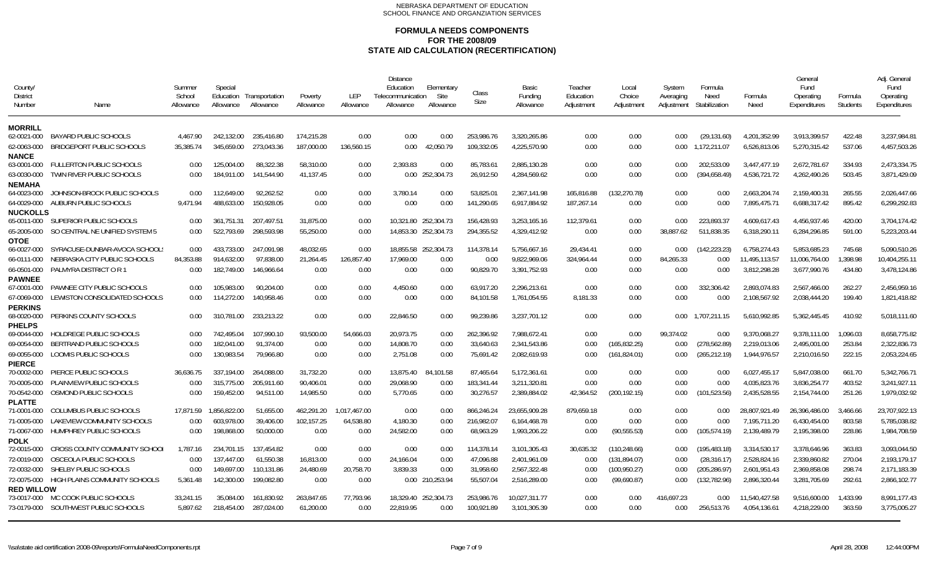| County/<br>District<br>Number    | Name                             | Summer<br>School<br>Allowance | Special<br>Education<br>Allowance | Transportation<br>Allowance | Poverty<br>Allowance | LEP<br>Allowance | <b>Distance</b><br>Education<br>Telecommunication<br>Allowance | Elementary<br>Site<br>Allowance | Class<br>Size | Basic<br>Funding<br>Allowance | Teacher<br>Education<br>Adjustment | Local<br>Choice<br>Adjustment | System<br>Averaging<br>Adjustment | Formula<br>Need<br>Stabilization | Formula<br>Need | General<br>Fund<br>Operating<br>Expenditures | Formula<br><b>Students</b> | Adi. General<br>Fund<br>Operating<br>Expenditures |
|----------------------------------|----------------------------------|-------------------------------|-----------------------------------|-----------------------------|----------------------|------------------|----------------------------------------------------------------|---------------------------------|---------------|-------------------------------|------------------------------------|-------------------------------|-----------------------------------|----------------------------------|-----------------|----------------------------------------------|----------------------------|---------------------------------------------------|
| <b>MORRILL</b><br>62-0021-000    | <b>BAYARD PUBLIC SCHOOLS</b>     | 4,467.90                      | 242.132.00                        | 235,416.80                  | 174,215.28           | 0.00             | 0.00                                                           | 0.00                            | 253,986.76    | 3,320,265.86                  | 0.00                               | 0.00                          | 0.00                              | (29, 131.60)                     | 4,201,352.99    | 3,913,399.57                                 | 422.48                     | 3,237,984.81                                      |
| 62-0063-000                      | <b>BRIDGEPORT PUBLIC SCHOOLS</b> | 35,385.74                     | 345,659.00                        | 273,043.36                  | 187,000.00           | 136,560.15       | 0.00                                                           | 42,050.79                       | 109,332.05    | 4,225,570.90                  | 0.00                               | 0.00                          | 0.00                              | 1,172,211.07                     | 6,526,813.06    | 5,270,315.42                                 | 537.06                     | 4,457,503.26                                      |
| <b>NANCE</b><br>63-0001-000      | <b>FULLERTON PUBLIC SCHOOLS</b>  | 0.00                          | 125.004.00                        | 88.322.38                   | 58.310.00            | 0.00             | 2.393.83                                                       | 0.00                            | 85.783.61     | 2.885.130.28                  | 0.00                               | 0.00                          | 0.00                              | 202.533.09                       | 3.447.477.19    | 2.672.781.67                                 | 334.93                     | 2.473.334.75                                      |
| 63-0030-000                      | TWIN RIVER PUBLIC SCHOOLS        | 0.00                          | 184.911.00                        | 141,544.90                  | 41.137.45            | 0.00             |                                                                | 0.00 252,304.73                 | 26,912.50     | 4,284,569.62                  | 0.00                               | 0.00                          | 0.00                              | (394, 658.49)                    | 4,536,721.72    | 4,262,490.26                                 | 503.45                     | 3,871,429.09                                      |
| <b>NEMAHA</b><br>64-0023-000     | JOHNSON-BROCK PUBLIC SCHOOLS     | 0.00                          | 112.649.00                        | 92,262.52                   | 0.00                 | 0.00             | 3.780.14                                                       | 0.00                            | 53.825.01     | 2.367.141.98                  | 165,816.88                         | (132.270.78)                  | 0.00                              | 0.00                             | 2.663.204.74    | 2.159.400.31                                 | 265.55                     | 2.026.447.66                                      |
| 64-0029-000                      | AUBURN PUBLIC SCHOOLS            | 9.471.94                      | 488.633.00                        | 150,928.05                  | 0.00                 | 0.00             | 0.00                                                           | 0.00                            | 141,290.65    | 6,917,884.92                  | 187.267.14                         | 0.00                          | 0.00                              | 0.00                             | 7,895,475.71    | 6,688,317.42                                 | 895.42                     | 6,299,292.83                                      |
| <b>NUCKOLLS</b><br>65-0011-000   | SUPERIOR PUBLIC SCHOOLS          | 0.00                          | 361.751.31                        | 207.497.51                  | 31.875.00            | 0.00             |                                                                | 10.321.80 252.304.73            | 156.428.93    | 3,253,165.16                  | 112,379.61                         | 0.00                          | 0.00                              | 223.893.37                       | 4.609.617.43    | 4.456.937.46                                 | 420.00                     | 3.704.174.42                                      |
| 65-2005-000                      | SO CENTRAL NE UNIFIED SYSTEM 5   | 0.00                          | 522.793.69                        | 298,593.98                  | 55,250.00            | 0.00             |                                                                | 14,853.30 252,304.73            | 294,355.52    | 4,329,412.92                  | 0.00                               | 0.00                          | 38,887.62                         | 511,838.35                       | 6,318,290.11    | 6,284,296.85                                 | 591.00                     | 5,223,203.44                                      |
| <b>OTOE</b><br>66-0027-000       | SYRACUSE-DUNBAR-AVOCA SCHOOL:    | 0.00                          | 433.733.00                        | 247.091.98                  | 48.032.65            | 0.00             |                                                                | 18.855.58 252.304.73            | 114.378.14    | 5.756.667.16                  | 29.434.41                          | 0.00                          | 0.00                              | (142.223.23)                     | 6.758.274.43    | 5.853.685.23                                 | 745.68                     | 5.090.510.26                                      |
| 66-0111-000                      | NEBRASKA CITY PUBLIC SCHOOLS     | 84,353.88                     | 914,632.00                        | 97,838.00                   | 21,264.45            | 126,857.40       | 17,969.00                                                      | 0.00                            | 0.00          | 9,822,969.06                  | 324,964.44                         | 0.00                          | 84,265.33                         | 0.00                             | 11,495,113.57   | 11,006,764.00                                | 1.398.98                   | 10,404,255.11                                     |
| 66-0501-000                      | PALMYRA DISTRICT OR 1            | 0.00                          | 182,749.00                        | 146,966.64                  | 0.00                 | 0.00             | 0.00                                                           | 0.00                            | 90,829.70     | 3,391,752.93                  | 0.00                               | 0.00                          | 0.00                              | 0.00                             | 3,812,298.28    | 3,677,990.76                                 | 434.80                     | 3,478,124.86                                      |
| <b>PAWNEE</b><br>67-0001-000     | PAWNEE CITY PUBLIC SCHOOLS       | 0.00                          | 105.983.00                        | 90.204.00                   | 0.00                 | 0.00             | 4.450.60                                                       | 0.00                            | 63.917.20     | 2.296.213.61                  | 0.00                               | 0.00                          | 0.00                              | 332.306.42                       | 2.893.074.83    | 2.567.466.00                                 | 262.27                     | 2.456.959.16                                      |
| 67-0069-000                      | LEWISTON CONSOLIDATED SCHOOLS    | 0.00                          | 114,272.00                        | 140,958.46                  | 0.00                 | 0.00             | 0.00                                                           | 0.00                            | 84,101.58     | 1,761,054.55                  | 8,181.33                           | 0.00                          | 0.00                              | 0.00                             | 2,108,567.92    | 2,038,444.20                                 | 199.40                     | 1,821,418.82                                      |
| <b>PERKINS</b><br>68-0020-000    | PERKINS COUNTY SCHOOLS           | 0.00                          | 310.781.00                        | 233.213.22                  | 0.00                 | 0.00             | 22.846.50                                                      | 0.00                            | 99.239.86     | 3.237.701.12                  | 0.00                               | 0.00                          |                                   | 0.00 1.707.211.15                | 5.610.992.85    | 5.362.445.45                                 | 410.92                     | 5.018.111.60                                      |
| <b>PHELPS</b><br>69-0044-000     | HOLDREGE PUBLIC SCHOOLS          | 0.00                          | 742.495.04                        | 107.990.10                  | 93.500.00            | 54.666.03        | 20.973.75                                                      | 0.00                            | 262.396.92    | 7.988.672.41                  | 0.00                               | 0.00                          | 99.374.02                         | 0.00                             | 9.370.068.27    | 9.378.111.00                                 | 1.096.03                   | 8.658.775.82                                      |
| 69-0054-000                      | BERTRAND PUBLIC SCHOOLS          | 0.00                          | 182.041.00                        | 91.374.00                   | 0.00                 | 0.00             | 14.808.70                                                      | 0.00                            | 33.640.63     | 2.341.543.86                  | 0.00                               | (165.832.25)                  | 0.00                              | (278, 562.89)                    | 2.219.013.06    | 2.495.001.00                                 | 253.84                     | 2.322.836.73                                      |
| 69-0055-000<br><b>PIERCE</b>     | LOOMIS PUBLIC SCHOOLS            | 0.00                          | 130,983.54                        | 79,966.80                   | 0.00                 | 0.00             | 2,751.08                                                       | 0.00                            | 75,691.42     | 2,082,619.93                  | 0.00                               | (161, 824.01)                 | 0.00                              | (265, 212.19)                    | 1,944,976.57    | 2,210,016.50                                 | 222.15                     | 2,053,224.65                                      |
| 70-0002-000                      | PIERCE PUBLIC SCHOOLS            | 36.636.75                     | 337.194.00                        | 264.088.00                  | 31.732.20            | 0.00             | 13.875.40                                                      | 4.101.58<br>8                   | 87.465.64     | 5.172.361.61                  | 0.00                               | 0.00                          | 0.00                              | 0.00                             | 6.027.455.17    | 5.847.038.00                                 | 661.70                     | 5.342.766.71                                      |
| 70-0005-000                      | PLAINVIEW PUBLIC SCHOOLS         | 0.00                          | 315,775.00                        | 205.911.60                  | 90.406.01            | 0.00             | 29,068.90                                                      | 0.00                            | 183.341.44    | 3.211.320.81                  | 0.00                               | 0.00                          | 0.00                              | 0.00                             | 4.035.823.76    | 3.836.254.77                                 | 403.52                     | 3.241.927.11                                      |
| 70-0542-000                      | OSMOND PUBLIC SCHOOLS            | 0.00                          | 159,452.00                        | 94,511.00                   | 14,985.50            | 0.00             | 5,770.65                                                       | 0.00                            | 30,276.57     | 2,389,884.02                  | 42,364.52                          | (200, 192, 15)                | 0.00                              | (101, 523.56)                    | 2,435,528.55    | 2,154,744.00                                 | 251.26                     | 1,979,032.92                                      |
| <b>PLATTE</b><br>71-0001-000     | <b>COLUMBUS PUBLIC SCHOOLS</b>   | 17.871.59                     | 1.856.822.00                      | 51.655.00                   | 462.291.20           | 1.017.467.00     | 0.00                                                           | 0.00                            | 866.246.24    | 23.655.909.28                 | 879.659.18                         | 0.00                          | 0.00                              | 0.00                             | 28.807.921.49   | 26.396.486.00                                | 3.466.66                   | 23,707,922.13                                     |
| 71-0005-000                      | LAKEVIEW COMMUNITY SCHOOLS       | 0.00                          | 603,978.00                        | 39,406.00                   | 102,157.25           | 64,538.80        | 4,180.30                                                       | 0.00                            | 216,982.07    | 6,164,468.78                  | 0.00                               | 0.00                          | 0.00                              | 0.00                             | 7,195,711.20    | 6,430,454.00                                 | 803.58                     | 5,785,038.82                                      |
| 71-0067-000                      | HUMPHREY PUBLIC SCHOOLS          | 0.00                          | 198,868.00                        | 50,000.00                   | 0.00                 | 0.00             | 24,582.00                                                      | 0.00                            | 68,963.29     | 1,993,206.22                  | 0.00                               | (90, 555.53)                  | 0.00 <sub>1</sub>                 | (105, 574.19)                    | 2,139,489.79    | 2,195,398.00                                 | 228.86                     | 1,984,708.59                                      |
| POLK                             |                                  |                               |                                   |                             |                      |                  |                                                                |                                 |               |                               |                                    |                               |                                   |                                  |                 |                                              |                            |                                                   |
| 72-0015-000                      | CROSS COUNTY COMMUNITY SCHOOL    | 1.787.16                      | 234,701.15                        | 137.454.82                  | 0.00                 | 0.00             | 0.00                                                           | 0.00                            | 114.378.14    | 3,101,305.43                  | 30.635.32                          | (110, 248.66)                 | 0.00                              | (195, 483.18)                    | 3.314.530.17    | 3,378,646.96                                 | 363.83                     | 3.093.044.50                                      |
| 72-0019-000                      | OSCEOLA PUBLIC SCHOOLS           | 0.00                          | 137,447.00                        | 61,550.38                   | 16,813.00            | 0.00             | 24,166.04                                                      | 0.00                            | 47,096.88     | 2,401,961.09                  | 0.00                               | (131, 894.07)                 | 0.00                              | (28, 316.17)                     | 2,528,824.16    | 2,339,860.82                                 | 270.04                     | 2,193,179.17                                      |
| 72-0032-000                      | SHELBY PUBLIC SCHOOLS            | 0.00                          | 149.697.00                        | 110,131.86                  | 24,480.69            | 20,758.70        | 3,839.33                                                       | 0.00                            | 31,958.60     | 2,567,322.48                  | 0.00                               | (100, 950.27)                 | 0.00                              | (205, 286.97)                    | 2,601,951.43    | 2,369,858.08                                 | 298.74                     | 2,171,183.39                                      |
| 72-0075-000                      | HIGH PLAINS COMMUNITY SCHOOLS    | 5.361.48                      | 142,300.00                        | 199,082.80                  | 0.00                 | 0.00             |                                                                | 0.00 210,253.94                 | 55,507.04     | 2,516,289.00                  | 0.00                               | (99,690.87)                   | 0.00                              | (132, 782.96)                    | 2,896,320.44    | 3,281,705.69                                 | 292.61                     | 2,866,102.77                                      |
| <b>RED WILLOW</b><br>73-0017-000 | MC COOK PUBLIC SCHOOLS           | 33,241.15                     | 35.084.00                         | 161,830.92                  | 263,847.65           | 77.793.96        |                                                                | 18,329.40 252,304.73            | 253,986.76    | 10,027,311.77                 | 0.00                               | 0.00                          | 416.697.23                        | 0.00                             | 11,540,427.58   | 9,516,600.00                                 | 1.433.99                   | 8,991,177.43                                      |
| 73-0179-000                      | SOUTHWEST PUBLIC SCHOOLS         | 5.897.62                      | 218,454.00                        | 287,024.00                  | 61,200.00            | 0.00             | 22,819.95                                                      | 0.00                            | 100,921.89    | 3,101,305.39                  | 0.00                               | 0.00                          | 0.00                              | 256,513.76                       | 4,054,136.61    | 4,218,229.00                                 | 363.59                     | 3,775,005.27                                      |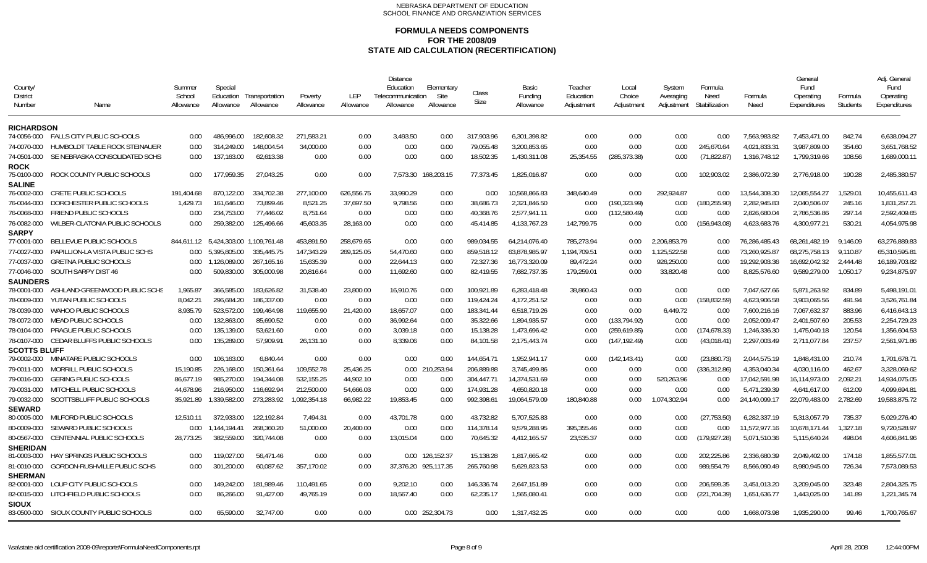| County<br><b>District</b><br>Number | Name                                    | Summer<br>School<br>Allowance | Special<br>Education<br>Allowance | Transportation<br>Allowance | Poverty<br>Allowance | <b>LEP</b><br>Allowance | <b>Distance</b><br>Education<br>Telecommunication<br>Allowance | Elementary<br>Site<br>Allowance | Class<br>Size | <b>Basic</b><br>Fundina<br>Allowance | Teacher<br>Education<br>Adjustment | Local<br>Choice<br>Adjustment | System<br>Averaging<br>Adjustment | Formula<br>Need<br>Stabilization | Formula<br>Need | General<br>Fund<br>Operating<br>Expenditures | Formula<br><b>Students</b> | Adj. General<br>Fund<br>Operating<br>Expenditures |
|-------------------------------------|-----------------------------------------|-------------------------------|-----------------------------------|-----------------------------|----------------------|-------------------------|----------------------------------------------------------------|---------------------------------|---------------|--------------------------------------|------------------------------------|-------------------------------|-----------------------------------|----------------------------------|-----------------|----------------------------------------------|----------------------------|---------------------------------------------------|
| <b>RICHARDSON</b>                   |                                         |                               |                                   |                             |                      |                         |                                                                |                                 |               |                                      |                                    |                               |                                   |                                  |                 |                                              |                            |                                                   |
| 74-0056-000                         | <b>FALLS CITY PUBLIC SCHOOLS</b>        | 0.00                          | 486,996,00                        | 182.608.32                  | 271.583.21           | 0.00                    | 3,493.50                                                       | 0.00                            | 317.903.96    | 6,301,398.82                         | 0.00                               | 0.00                          | 0.00                              | 0.00                             | 7.563.983.82    | 7,453,471.00                                 | 842.74                     | 6,638,094.27                                      |
| 74-0070-000                         | HUMBOLDT TABLE ROCK STEINAUER           | 0.00                          | 314.249.00                        | 148,004.54                  | 34,000.00            | 0.00                    | 0.00                                                           | 0.00                            | 79,055.48     | 3,200,853.65                         | 0.00                               | 0.00                          | 0.00                              | 245,670.64                       | 4,021,833.31    | 3,987,809.00                                 | 354.60                     | 3,651,768.52                                      |
| 74-0501-000                         | SE NEBRASKA CONSOLIDATED SCHS           | 0.00                          | 137,163.00                        | 62,613.38                   | 0.00                 | 0.00                    | 0.00                                                           | 0.00                            | 18,502.35     | 1,430,311.08                         | 25,354.55                          | (285, 373.38)                 | 0.00                              | (71, 822.87)                     | 1,316,748.12    | 1,799,319.66                                 | 108.56                     | 1,689,000.11                                      |
| <b>ROCK</b><br>75-0100-000          | ROCK COUNTY PUBLIC SCHOOLS              | 0.00                          | 177.959.35                        | 27.043.25                   | 0.00                 | 0.00                    | 7.573.30                                                       | 168,203.15                      | 77.373.45     | 1.825.016.87                         | 0.00                               | 0.00                          | 0.00                              | 102.903.02                       | 2.386.072.39    | 2.776.918.00                                 | 190.28                     | 2,485,380.57                                      |
| <b>SALINE</b><br>76-0002-000        | <b>CRETE PUBLIC SCHOOLS</b>             | 191.404.68                    | 870.122.00                        | 334,702.38                  | 277.100.00           | 626.556.75              | 33.990.29                                                      | 0.00                            | 0.00          | 10.568.866.83                        | 348.640.49                         | 0.00                          | 292.924.87                        | 0.00                             | 13.544.308.30   | 12.065.554.27                                | 1.529.01                   | 10,455,611.43                                     |
| 76-0044-000                         | DORCHESTER PUBLIC SCHOOLS               | 1,429.73                      | 161,646.00                        | 73,899.46                   | 8,521.25             | 37,697.50               | 9,798.56                                                       | 0.00                            | 38,686.73     | 2,321,846.50                         | 0.00                               | (190, 323.99)                 | 0.00                              | (180, 255.90)                    | 2,282,945.83    | 2,040,506.07                                 | 245.16                     | 1,831,257.21                                      |
| 76-0068-000                         | FRIEND PUBLIC SCHOOLS                   | 0.00                          | 234,753.00                        | 77,446.02                   | 8,751.64             | 0.00                    | 0.00                                                           | 0.00                            | 40,368.76     | 2,577,941.11                         | 0.00                               | (112,580.49)                  | 0.00                              | 0.00                             | 2,826,680.04    | 2,786,536.86                                 | 297.14                     | 2,592,409.65                                      |
| 76-0082-000<br><b>SARPY</b>         | WILBER-CLATONIA PUBLIC SCHOOLS          | 0.00                          | 259,382.00                        | 125.496.66                  | 45.603.35            | 28,163.00               | 0.00                                                           | 0.00                            | 45,414.85     | 4,133,767.23                         | 142,799.75                         | 0.00                          | 0.00                              | (156, 943.08)                    | 4,623,683.76    | 4,300,977.21                                 | 530.21                     | 4,054,975.98                                      |
| 77-0001-000                         | BELLEVUE PUBLIC SCHOOLS                 | 844.611.12                    | 5.424.303.00 1.109.761.48         |                             | 453,891.50           | 258.679.65              | 0.00                                                           | 0.00                            | 989.034.55    | 64.214.076.40                        | 785.273.94                         | 0.00                          | 2.206.853.79                      | 0.00                             | 76.286.485.43   | 68.261.482.19                                | 9.146.09                   | 63,276,889.83                                     |
| 77-0027-000                         | PAPILLION-LA VISTA PUBLIC SCHS          | 0.00                          | 5.395.805.00                      | 335.445.75                  | 147.343.29           | 269.125.05              | 54.470.60                                                      | 0.00                            | 859.518.12    | 63.878.985.97                        | 1.194.709.51                       | 0.00                          | 1.125.522.58                      | 0.00                             | 73.260.925.87   | 68.275.758.13                                | 9.110.87                   | 65.310.595.81                                     |
| 77-0037-000                         | <b>GRETNA PUBLIC SCHOOLS</b>            | 0.00                          | 1.126.089.00                      | 267,165.16                  | 15,635.39            | 0.00                    | 22,644.13                                                      | 0.00                            | 72.327.36     | 16,773,320.09                        | 89,472.24                          | 0.00                          | 926,250.00                        | 0.00                             | 19,292,903.36   | 16,692,042.32                                | 2,444.48                   | 16,189,703.82                                     |
| 77-0046-000                         | SOUTH SARPY DIST 46                     | 0.00                          | 509.830.00                        | 305,000.98                  | 20,816.64            | 0.00                    | 11,692.60                                                      | 0.00                            | 82.419.55     | 7,682,737.35                         | 179,259.01                         | 0.00                          | 33,820.48                         | 0.00                             | 8,825,576.60    | 9,589,279.00                                 | 1.050.17                   | 9,234,875.97                                      |
| <b>SAUNDERS</b>                     |                                         |                               |                                   |                             |                      |                         |                                                                |                                 |               |                                      |                                    |                               |                                   |                                  |                 |                                              |                            |                                                   |
| 78-0001-000                         | ASHLAND-GREENWOOD PUBLIC SCHS           | 1,965.87                      | 366.585.00                        | 183,626.82                  | 31.538.40            | 23.800.00               | 16.910.76                                                      | 0.00                            | 100.921.89    | 6,283,418.48                         | 38.860.43                          | 0.00                          | 0.00                              | 0.00                             | 7,047,627.66    | 5,871,263.92                                 | 834.89                     | 5,498,191.01                                      |
| 78-0009-000                         | YUTAN PUBLIC SCHOOLS                    | 8.042.21                      | 296.684.20                        | 186.337.00                  | 0.00                 | 0.00                    | 0.00                                                           | 0.00                            | 119.424.24    | 4,172,251.52                         | 0.00                               | 0.00                          | $0.00\,$                          | (158, 832.59)                    | 4,623,906.58    | 3.903.065.56                                 | 491.94                     | 3.526.761.84                                      |
| 78-0039-000                         | WAHOO PUBLIC SCHOOLS                    | 8,935.79                      | 523,572.00                        | 199,464.98                  | 119,655.90           | 21,420.00               | 18,657.07                                                      | 0.00                            | 183,341.44    | 6,518,719.26                         | 0.00                               | 0.00                          | 6,449.72                          | 0.00                             | 7,600,216.16    | 7,067,632.37                                 | 883.96                     | 6,416,643.13                                      |
| 78-0072-000                         | MEAD PUBLIC SCHOOLS                     | 0.00                          | 132,863.00                        | 85,690.52                   | 0.00                 | 0.00                    | 36,992.64                                                      | 0.00                            | 35,322.66     | 1,894,935.57                         | 0.00                               | (133, 794.92)                 | 0.00                              | 0.00                             | 2,052,009.47    | 2,401,507.60                                 | 205.53                     | 2,254,729.23                                      |
| 78-0104-000                         | <b>PRAGUE PUBLIC SCHOOLS</b>            | 0.00                          | 135.139.00                        | 53.621.60                   | 0.00                 | 0.00                    | 3,039.18                                                       | 0.00                            | 15.138.28     | 1,473,696.42                         | 0.00                               | (259, 619.85)                 | 0.00                              | (174, 678.33)                    | 1,246,336.30    | 1,475,040.18                                 | 120.54                     | 1,356,604.53                                      |
| 78-0107-000                         | <b>CEDAR BLUFFS PUBLIC SCHOOLS</b>      | 0.00                          | 135,289.00                        | 57,909.91                   | 26,131.10            | 0.00                    | 8,339.06                                                       | 0.00                            | 84,101.58     | 2,175,443.74                         | 0.00                               | (147, 192.49)                 | 0.00                              | (43,018.41)                      | 2,297,003.49    | 2,711,077.84                                 | 237.57                     | 2,561,971.86                                      |
| <b>SCOTTS BLUFF</b><br>79-0002-000  | MINATARE PUBLIC SCHOOLS                 | 0.00                          | 106,163.00                        | 6.840.44                    | 0.00                 | 0.00                    | 0.00                                                           | 0.00                            | 144.654.71    | 1,952,941.17                         | 0.00                               | (142, 143.41)                 | 0.00                              | (23,880.73)                      | 2,044,575.19    | 1.848.431.00                                 | 210.74                     | 1,701,678.71                                      |
| 79-0011-000                         | MORRILL PUBLIC SCHOOLS                  | 15,190.85                     | 226,168.00                        | 150,361.64                  | 109,552.78           | 25,436.25               |                                                                | 0.00 210,253.94                 | 206,889.88    | 3,745,499.86                         | 0.00                               | 0.00                          | 0.00                              | (336, 312.86)                    | 4,353,040.34    | 4,030,116.00                                 | 462.67                     | 3,328,069.62                                      |
| 79-0016-000                         | <b>GERING PUBLIC SCHOOLS</b>            | 86,677.19                     | 985,270.00                        | 194,344.08                  | 532,155.25           | 44,902.10               | 0.00                                                           | 0.00                            | 304.447.71    | 14,374,531.69                        | 0.00                               | 0.00                          | 520,263.96                        | 0.00                             | 17,042,591.98   | 16,114,973.00                                | 2,092.21                   | 14,934,075.05                                     |
| 79-0031-000                         | MITCHELL PUBLIC SCHOOLS                 | 44.678.96                     | 216,950.00                        | 116.692.94                  | 212,500.00           | 54.666.03               | 0.00                                                           | 0.00                            | 174.931.28    | 4.650.820.18                         | 0.00                               | 0.00                          | 0.00                              | 0.00                             | 5.471.239.39    | 4.641.617.00                                 | 612.09                     | 4.099.694.81                                      |
| 79-0032-000                         | SCOTTSBLUFF PUBLIC SCHOOLS              | 35,921.89                     | 1,339,582.00                      | 273,283.92                  | 1,092,354.18         | 66,982.22               | 19,853.45                                                      | 0.00                            | 992,398.61    | 19,064,579.09                        | 180.840.88                         | 0.00                          | 1,074,302.94                      | 0.00                             | 24.140.099.17   | 22.079.483.00                                | 2,782.69                   | 19,583,875.72                                     |
| <b>SEWARD</b><br>80-0005-000        | MILFORD PUBLIC SCHOOLS                  | 12.510.11                     | 372.933.00                        | 122.192.84                  | 7.494.31             | 0.00                    | 43.701.78                                                      | 0.00                            | 43.732.82     | 5.707.525.83                         | 0.00                               | 0.00                          | 0.00                              | (27, 753.50)                     | 6.282.337.19    | 5.313.057.79                                 | 735.37                     | 5,029,276.40                                      |
| 80-0009-000                         | SEWARD PUBLIC SCHOOLS                   | 0.00                          | 1.144.194.41                      | 268,360.20                  | 51.000.00            | 20,400.00               | 0.00                                                           | 0.00                            | 114,378.14    | 9,579,288.95                         | 395,355.46                         | 0.00                          | 0.00                              | 0.00                             | 11,572,977.16   | 10,678,171.44                                | 1,327.18                   | 9,720,528.97                                      |
| 80-0567-000                         | <b>CENTENNIAL PUBLIC SCHOOLS</b>        | 28.773.25                     | 382.559.00                        | 320.744.08                  | 0.00                 | 0.00                    | 13.015.04                                                      | 0.00                            | 70.645.32     | 4,412,165.57                         | 23.535.37                          | 0.00                          | 0.00                              | (179, 927.28)                    | 5.071.510.36    | 5,115,640.24                                 | 498.04                     | 4,606,841.96                                      |
| <b>SHERIDAN</b><br>81-0003-000      | <b>HAY SPRINGS PUBLIC SCHOOLS</b>       | 0.00                          | 119.027.00                        | 56.471.46                   | 0.00                 | 0.00                    |                                                                | 0.00 126.152.37                 | 15.138.28     | 1.817.665.42                         | 0.00                               | 0.00                          | 0.00                              | 202.225.86                       | 2.336.680.39    | 2.049.402.00                                 | 174.18                     | 1.855.577.01                                      |
|                                     | GORDON-RUSHVILLE PUBLIC SCHS            |                               |                                   |                             |                      | 0.00                    |                                                                |                                 |               | 5,629,823.53                         |                                    |                               |                                   |                                  |                 |                                              | 726.34                     | 7,573,089.53                                      |
| 81-0010-000<br><b>SHERMAN</b>       |                                         | 0.00                          | 301,200.00                        | 60,087.62                   | 357,170.02           |                         | 37,376.20 925,117.35                                           |                                 | 265,760.98    |                                      | 0.00                               | 0.00                          | 0.00                              | 989,554.79                       | 8,566,090.49    | 8,980,945.00                                 |                            |                                                   |
| 82-0001-000                         | LOUP CITY PUBLIC SCHOOLS                | 0.00                          | 149,242.00                        | 181,989.46                  | 110,491.65           | 0.00                    | 9,202.10                                                       | 0.00                            | 146,336.74    | 2,647,151.89                         | 0.00                               | 0.00                          | 0.00                              | 206,599.35                       | 3,451,013.20    | 3,209,045.00                                 | 323.48                     | 2,804,325.75                                      |
| 82-0015-000                         | LITCHFIELD PUBLIC SCHOOLS               | 0.00                          | 86,266.00                         | 91,427.00                   | 49,765.19            | 0.00                    | 18,567.40                                                      | 0.00                            | 62,235.17     | 1,565,080.41                         | 0.00                               | 0.00                          | 0.00                              | (221, 704.39)                    | 1,651,636.77    | 1,443,025.00                                 | 141.89                     | 1,221,345.74                                      |
| <b>SIOUX</b>                        | 83-0500-000 SIOUX COUNTY PUBLIC SCHOOLS | 0.00                          | 65,590.00                         | 32.747.00                   | 0.00                 | 0.00                    |                                                                | 0.00 252,304.73                 | $0.00\,$      | 1.317.432.25                         | 0.00                               | 0.00                          | 0.00                              | 0.00                             | 1.668.073.98    | 1.935.290.00                                 | 99.46                      | 1,700,765.67                                      |